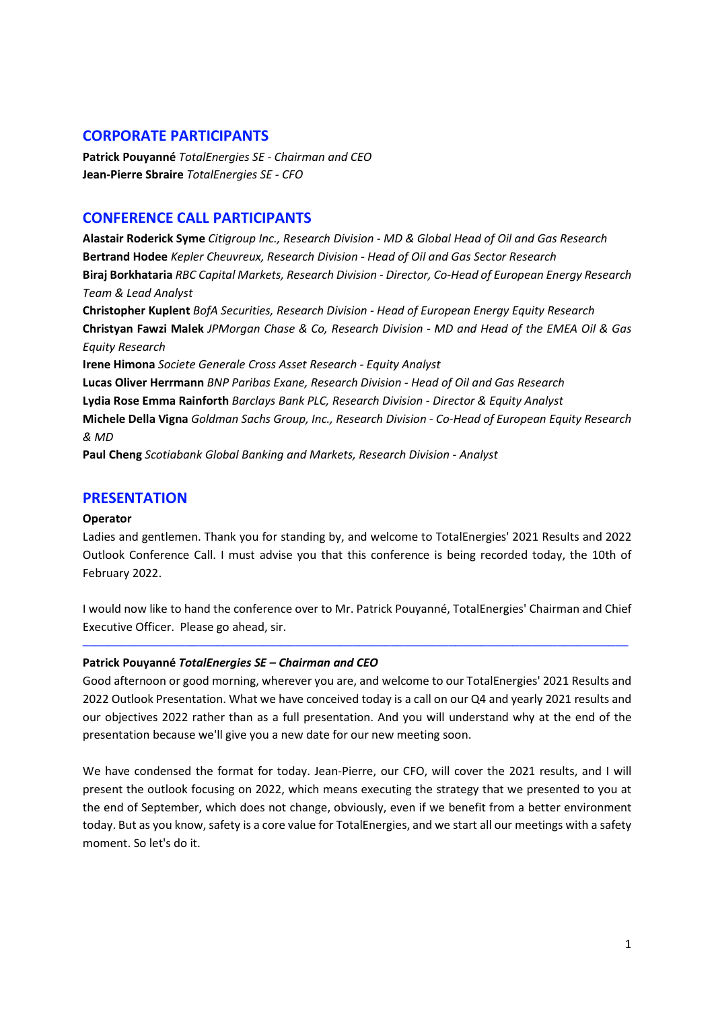## **CORPORATE PARTICIPANTS**

**Patrick Pouyanné** *TotalEnergies SE - Chairman and CEO*  **Jean-Pierre Sbraire** *TotalEnergies SE - CFO* 

## **CONFERENCE CALL PARTICIPANTS**

**Alastair Roderick Syme** *Citigroup Inc., Research Division - MD & Global Head of Oil and Gas Research*  **Bertrand Hodee** *Kepler Cheuvreux, Research Division - Head of Oil and Gas Sector Research*  **Biraj Borkhataria** *RBC Capital Markets, Research Division - Director, Co-Head of European Energy Research Team & Lead Analyst* 

**Christopher Kuplent** *BofA Securities, Research Division - Head of European Energy Equity Research*  **Christyan Fawzi Malek** *JPMorgan Chase & Co, Research Division - MD and Head of the EMEA Oil & Gas Equity Research* 

**Irene Himona** *Societe Generale Cross Asset Research - Equity Analyst* 

**Lucas Oliver Herrmann** *BNP Paribas Exane, Research Division - Head of Oil and Gas Research*  **Lydia Rose Emma Rainforth** *Barclays Bank PLC, Research Division - Director & Equity Analyst*  **Michele Della Vigna** *Goldman Sachs Group, Inc., Research Division - Co-Head of European Equity Research & MD* 

**Paul Cheng** *Scotiabank Global Banking and Markets, Research Division - Analyst* 

## **PRESENTATION**

## **Operator**

Ladies and gentlemen. Thank you for standing by, and welcome to TotalEnergies' 2021 Results and 2022 Outlook Conference Call. I must advise you that this conference is being recorded today, the 10th of February 2022.

I would now like to hand the conference over to Mr. Patrick Pouyanné, TotalEnergies' Chairman and Chief Executive Officer. Please go ahead, sir.

─────────────────────────────────────────────────────────────────────────────────────

## **Patrick Pouyanné** *TotalEnergies SE – Chairman and CEO*

Good afternoon or good morning, wherever you are, and welcome to our TotalEnergies' 2021 Results and 2022 Outlook Presentation. What we have conceived today is a call on our Q4 and yearly 2021 results and our objectives 2022 rather than as a full presentation. And you will understand why at the end of the presentation because we'll give you a new date for our new meeting soon.

We have condensed the format for today. Jean-Pierre, our CFO, will cover the 2021 results, and I will present the outlook focusing on 2022, which means executing the strategy that we presented to you at the end of September, which does not change, obviously, even if we benefit from a better environment today. But as you know, safety is a core value for TotalEnergies, and we start all our meetings with a safety moment. So let's do it.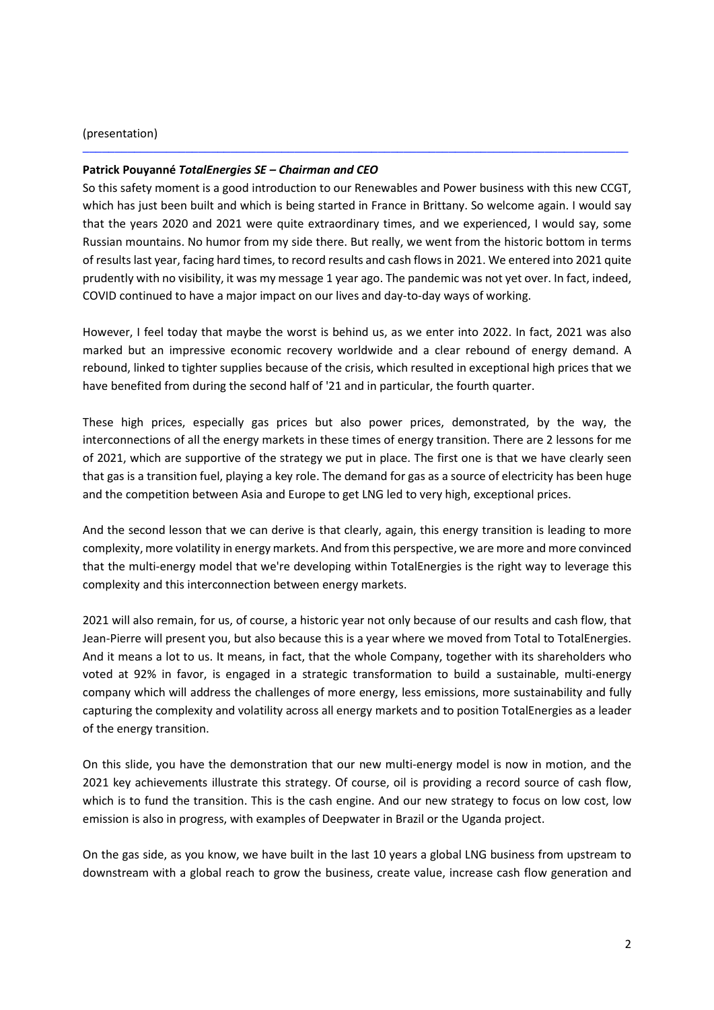### (presentation)

### **Patrick Pouyanné** *TotalEnergies SE – Chairman and CEO*

So this safety moment is a good introduction to our Renewables and Power business with this new CCGT, which has just been built and which is being started in France in Brittany. So welcome again. I would say that the years 2020 and 2021 were quite extraordinary times, and we experienced, I would say, some Russian mountains. No humor from my side there. But really, we went from the historic bottom in terms of results last year, facing hard times, to record results and cash flows in 2021. We entered into 2021 quite prudently with no visibility, it was my message 1 year ago. The pandemic was not yet over. In fact, indeed, COVID continued to have a major impact on our lives and day-to-day ways of working.

─────────────────────────────────────────────────────────────────────────────────────

However, I feel today that maybe the worst is behind us, as we enter into 2022. In fact, 2021 was also marked but an impressive economic recovery worldwide and a clear rebound of energy demand. A rebound, linked to tighter supplies because of the crisis, which resulted in exceptional high prices that we have benefited from during the second half of '21 and in particular, the fourth quarter.

These high prices, especially gas prices but also power prices, demonstrated, by the way, the interconnections of all the energy markets in these times of energy transition. There are 2 lessons for me of 2021, which are supportive of the strategy we put in place. The first one is that we have clearly seen that gas is a transition fuel, playing a key role. The demand for gas as a source of electricity has been huge and the competition between Asia and Europe to get LNG led to very high, exceptional prices.

And the second lesson that we can derive is that clearly, again, this energy transition is leading to more complexity, more volatility in energy markets. And from this perspective, we are more and more convinced that the multi-energy model that we're developing within TotalEnergies is the right way to leverage this complexity and this interconnection between energy markets.

2021 will also remain, for us, of course, a historic year not only because of our results and cash flow, that Jean-Pierre will present you, but also because this is a year where we moved from Total to TotalEnergies. And it means a lot to us. It means, in fact, that the whole Company, together with its shareholders who voted at 92% in favor, is engaged in a strategic transformation to build a sustainable, multi-energy company which will address the challenges of more energy, less emissions, more sustainability and fully capturing the complexity and volatility across all energy markets and to position TotalEnergies as a leader of the energy transition.

On this slide, you have the demonstration that our new multi-energy model is now in motion, and the 2021 key achievements illustrate this strategy. Of course, oil is providing a record source of cash flow, which is to fund the transition. This is the cash engine. And our new strategy to focus on low cost, low emission is also in progress, with examples of Deepwater in Brazil or the Uganda project.

On the gas side, as you know, we have built in the last 10 years a global LNG business from upstream to downstream with a global reach to grow the business, create value, increase cash flow generation and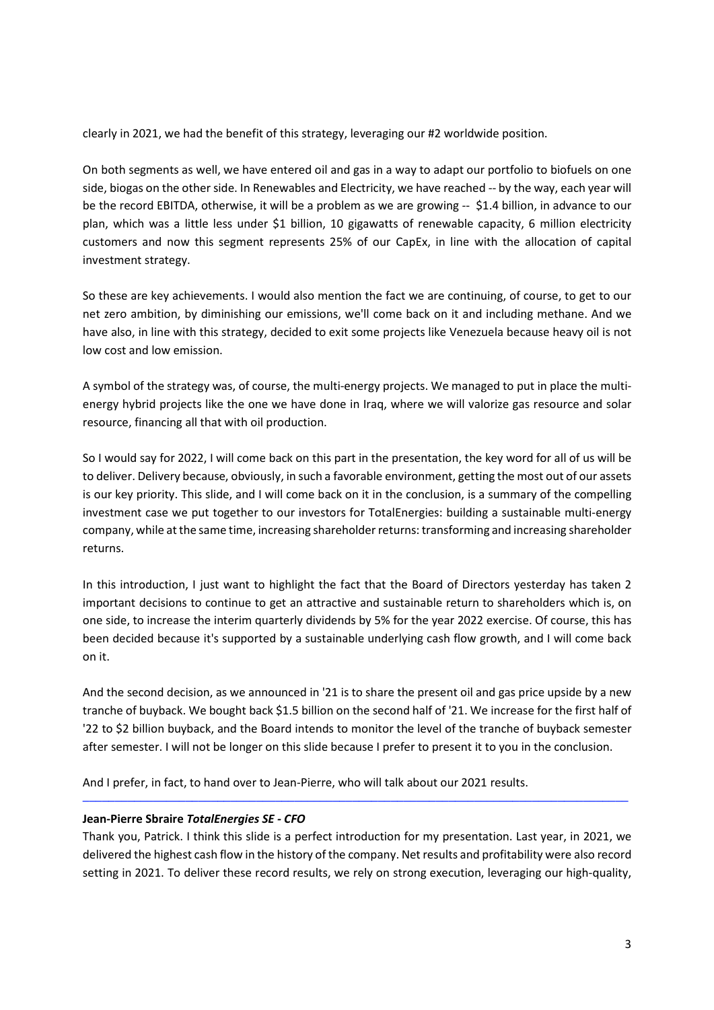clearly in 2021, we had the benefit of this strategy, leveraging our #2 worldwide position.

On both segments as well, we have entered oil and gas in a way to adapt our portfolio to biofuels on one side, biogas on the other side. In Renewables and Electricity, we have reached -- by the way, each year will be the record EBITDA, otherwise, it will be a problem as we are growing -- \$1.4 billion, in advance to our plan, which was a little less under \$1 billion, 10 gigawatts of renewable capacity, 6 million electricity customers and now this segment represents 25% of our CapEx, in line with the allocation of capital investment strategy.

So these are key achievements. I would also mention the fact we are continuing, of course, to get to our net zero ambition, by diminishing our emissions, we'll come back on it and including methane. And we have also, in line with this strategy, decided to exit some projects like Venezuela because heavy oil is not low cost and low emission.

A symbol of the strategy was, of course, the multi-energy projects. We managed to put in place the multienergy hybrid projects like the one we have done in Iraq, where we will valorize gas resource and solar resource, financing all that with oil production.

So I would say for 2022, I will come back on this part in the presentation, the key word for all of us will be to deliver. Delivery because, obviously, in such a favorable environment, getting the most out of our assets is our key priority. This slide, and I will come back on it in the conclusion, is a summary of the compelling investment case we put together to our investors for TotalEnergies: building a sustainable multi-energy company, while at the same time, increasing shareholder returns: transforming and increasing shareholder returns.

In this introduction, I just want to highlight the fact that the Board of Directors yesterday has taken 2 important decisions to continue to get an attractive and sustainable return to shareholders which is, on one side, to increase the interim quarterly dividends by 5% for the year 2022 exercise. Of course, this has been decided because it's supported by a sustainable underlying cash flow growth, and I will come back on it.

And the second decision, as we announced in '21 is to share the present oil and gas price upside by a new tranche of buyback. We bought back \$1.5 billion on the second half of '21. We increase for the first half of '22 to \$2 billion buyback, and the Board intends to monitor the level of the tranche of buyback semester after semester. I will not be longer on this slide because I prefer to present it to you in the conclusion.

And I prefer, in fact, to hand over to Jean-Pierre, who will talk about our 2021 results.

## **Jean-Pierre Sbraire** *TotalEnergies SE - CFO*

Thank you, Patrick. I think this slide is a perfect introduction for my presentation. Last year, in 2021, we delivered the highest cash flow in the history of the company. Net results and profitability were also record setting in 2021. To deliver these record results, we rely on strong execution, leveraging our high-quality,

─────────────────────────────────────────────────────────────────────────────────────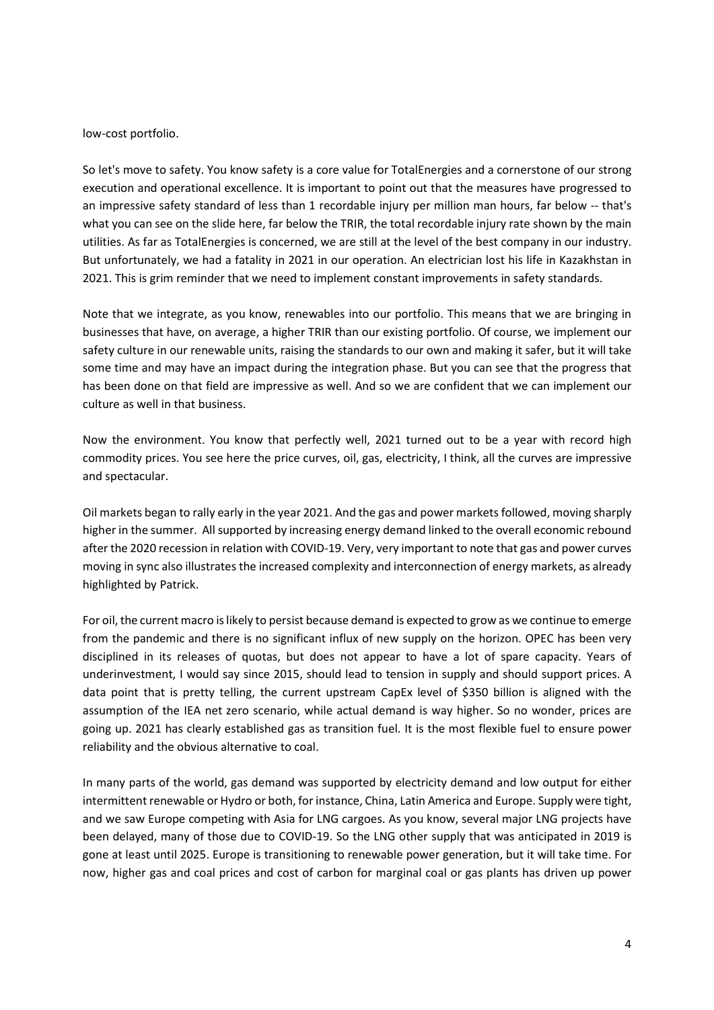low-cost portfolio.

So let's move to safety. You know safety is a core value for TotalEnergies and a cornerstone of our strong execution and operational excellence. It is important to point out that the measures have progressed to an impressive safety standard of less than 1 recordable injury per million man hours, far below -- that's what you can see on the slide here, far below the TRIR, the total recordable injury rate shown by the main utilities. As far as TotalEnergies is concerned, we are still at the level of the best company in our industry. But unfortunately, we had a fatality in 2021 in our operation. An electrician lost his life in Kazakhstan in 2021. This is grim reminder that we need to implement constant improvements in safety standards.

Note that we integrate, as you know, renewables into our portfolio. This means that we are bringing in businesses that have, on average, a higher TRIR than our existing portfolio. Of course, we implement our safety culture in our renewable units, raising the standards to our own and making it safer, but it will take some time and may have an impact during the integration phase. But you can see that the progress that has been done on that field are impressive as well. And so we are confident that we can implement our culture as well in that business.

Now the environment. You know that perfectly well, 2021 turned out to be a year with record high commodity prices. You see here the price curves, oil, gas, electricity, I think, all the curves are impressive and spectacular.

Oil markets began to rally early in the year 2021. And the gas and power markets followed, moving sharply higher in the summer. All supported by increasing energy demand linked to the overall economic rebound after the 2020 recession in relation with COVID-19. Very, very important to note that gas and power curves moving in sync also illustrates the increased complexity and interconnection of energy markets, as already highlighted by Patrick.

For oil, the current macro is likely to persist because demand is expected to grow as we continue to emerge from the pandemic and there is no significant influx of new supply on the horizon. OPEC has been very disciplined in its releases of quotas, but does not appear to have a lot of spare capacity. Years of underinvestment, I would say since 2015, should lead to tension in supply and should support prices. A data point that is pretty telling, the current upstream CapEx level of \$350 billion is aligned with the assumption of the IEA net zero scenario, while actual demand is way higher. So no wonder, prices are going up. 2021 has clearly established gas as transition fuel. It is the most flexible fuel to ensure power reliability and the obvious alternative to coal.

In many parts of the world, gas demand was supported by electricity demand and low output for either intermittent renewable or Hydro or both, for instance, China, Latin America and Europe. Supply were tight, and we saw Europe competing with Asia for LNG cargoes. As you know, several major LNG projects have been delayed, many of those due to COVID-19. So the LNG other supply that was anticipated in 2019 is gone at least until 2025. Europe is transitioning to renewable power generation, but it will take time. For now, higher gas and coal prices and cost of carbon for marginal coal or gas plants has driven up power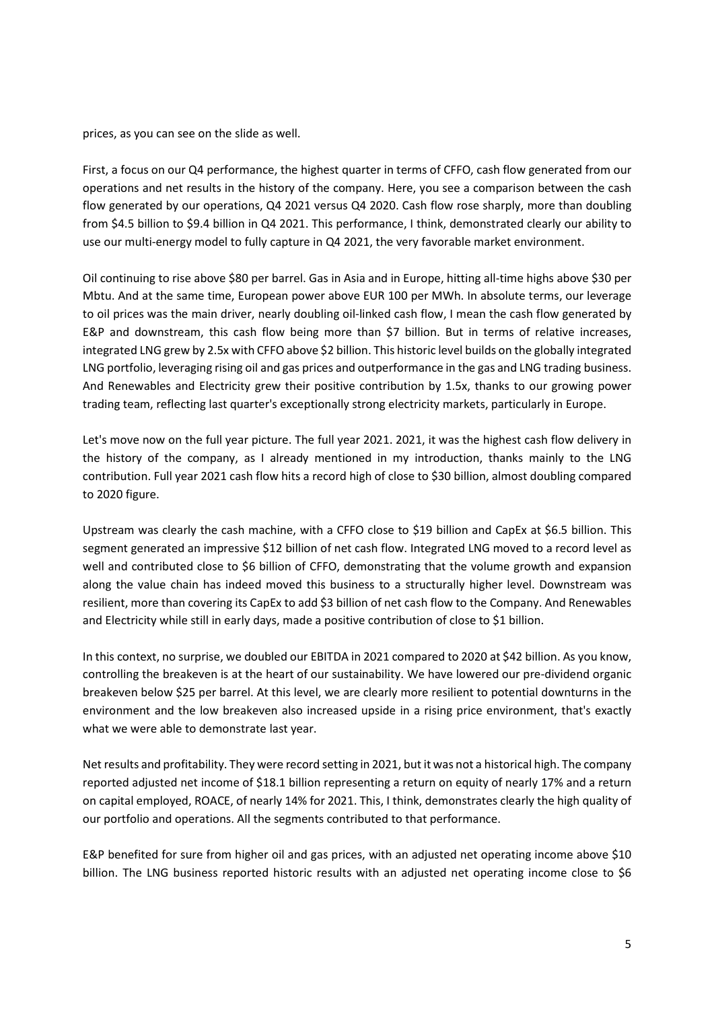prices, as you can see on the slide as well.

First, a focus on our Q4 performance, the highest quarter in terms of CFFO, cash flow generated from our operations and net results in the history of the company. Here, you see a comparison between the cash flow generated by our operations, Q4 2021 versus Q4 2020. Cash flow rose sharply, more than doubling from \$4.5 billion to \$9.4 billion in Q4 2021. This performance, I think, demonstrated clearly our ability to use our multi-energy model to fully capture in Q4 2021, the very favorable market environment.

Oil continuing to rise above \$80 per barrel. Gas in Asia and in Europe, hitting all-time highs above \$30 per Mbtu. And at the same time, European power above EUR 100 per MWh. In absolute terms, our leverage to oil prices was the main driver, nearly doubling oil-linked cash flow, I mean the cash flow generated by E&P and downstream, this cash flow being more than \$7 billion. But in terms of relative increases, integrated LNG grew by 2.5x with CFFO above \$2 billion. This historic level builds on the globally integrated LNG portfolio, leveraging rising oil and gas prices and outperformance in the gas and LNG trading business. And Renewables and Electricity grew their positive contribution by 1.5x, thanks to our growing power trading team, reflecting last quarter's exceptionally strong electricity markets, particularly in Europe.

Let's move now on the full year picture. The full year 2021. 2021, it was the highest cash flow delivery in the history of the company, as I already mentioned in my introduction, thanks mainly to the LNG contribution. Full year 2021 cash flow hits a record high of close to \$30 billion, almost doubling compared to 2020 figure.

Upstream was clearly the cash machine, with a CFFO close to \$19 billion and CapEx at \$6.5 billion. This segment generated an impressive \$12 billion of net cash flow. Integrated LNG moved to a record level as well and contributed close to \$6 billion of CFFO, demonstrating that the volume growth and expansion along the value chain has indeed moved this business to a structurally higher level. Downstream was resilient, more than covering its CapEx to add \$3 billion of net cash flow to the Company. And Renewables and Electricity while still in early days, made a positive contribution of close to \$1 billion.

In this context, no surprise, we doubled our EBITDA in 2021 compared to 2020 at \$42 billion. As you know, controlling the breakeven is at the heart of our sustainability. We have lowered our pre-dividend organic breakeven below \$25 per barrel. At this level, we are clearly more resilient to potential downturns in the environment and the low breakeven also increased upside in a rising price environment, that's exactly what we were able to demonstrate last year.

Net results and profitability. They were record setting in 2021, but it was not a historical high. The company reported adjusted net income of \$18.1 billion representing a return on equity of nearly 17% and a return on capital employed, ROACE, of nearly 14% for 2021. This, I think, demonstrates clearly the high quality of our portfolio and operations. All the segments contributed to that performance.

E&P benefited for sure from higher oil and gas prices, with an adjusted net operating income above \$10 billion. The LNG business reported historic results with an adjusted net operating income close to \$6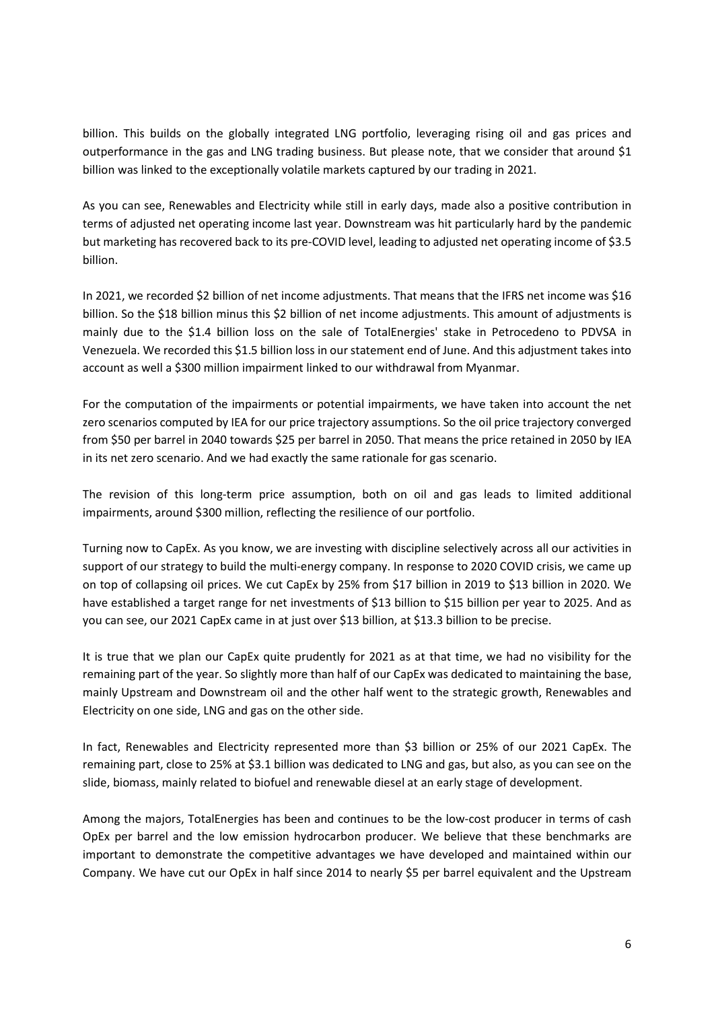billion. This builds on the globally integrated LNG portfolio, leveraging rising oil and gas prices and outperformance in the gas and LNG trading business. But please note, that we consider that around \$1 billion was linked to the exceptionally volatile markets captured by our trading in 2021.

As you can see, Renewables and Electricity while still in early days, made also a positive contribution in terms of adjusted net operating income last year. Downstream was hit particularly hard by the pandemic but marketing has recovered back to its pre-COVID level, leading to adjusted net operating income of \$3.5 billion.

In 2021, we recorded \$2 billion of net income adjustments. That means that the IFRS net income was \$16 billion. So the \$18 billion minus this \$2 billion of net income adjustments. This amount of adjustments is mainly due to the \$1.4 billion loss on the sale of TotalEnergies' stake in Petrocedeno to PDVSA in Venezuela. We recorded this \$1.5 billion loss in our statement end of June. And this adjustment takes into account as well a \$300 million impairment linked to our withdrawal from Myanmar.

For the computation of the impairments or potential impairments, we have taken into account the net zero scenarios computed by IEA for our price trajectory assumptions. So the oil price trajectory converged from \$50 per barrel in 2040 towards \$25 per barrel in 2050. That means the price retained in 2050 by IEA in its net zero scenario. And we had exactly the same rationale for gas scenario.

The revision of this long-term price assumption, both on oil and gas leads to limited additional impairments, around \$300 million, reflecting the resilience of our portfolio.

Turning now to CapEx. As you know, we are investing with discipline selectively across all our activities in support of our strategy to build the multi-energy company. In response to 2020 COVID crisis, we came up on top of collapsing oil prices. We cut CapEx by 25% from \$17 billion in 2019 to \$13 billion in 2020. We have established a target range for net investments of \$13 billion to \$15 billion per year to 2025. And as you can see, our 2021 CapEx came in at just over \$13 billion, at \$13.3 billion to be precise.

It is true that we plan our CapEx quite prudently for 2021 as at that time, we had no visibility for the remaining part of the year. So slightly more than half of our CapEx was dedicated to maintaining the base, mainly Upstream and Downstream oil and the other half went to the strategic growth, Renewables and Electricity on one side, LNG and gas on the other side.

In fact, Renewables and Electricity represented more than \$3 billion or 25% of our 2021 CapEx. The remaining part, close to 25% at \$3.1 billion was dedicated to LNG and gas, but also, as you can see on the slide, biomass, mainly related to biofuel and renewable diesel at an early stage of development.

Among the majors, TotalEnergies has been and continues to be the low-cost producer in terms of cash OpEx per barrel and the low emission hydrocarbon producer. We believe that these benchmarks are important to demonstrate the competitive advantages we have developed and maintained within our Company. We have cut our OpEx in half since 2014 to nearly \$5 per barrel equivalent and the Upstream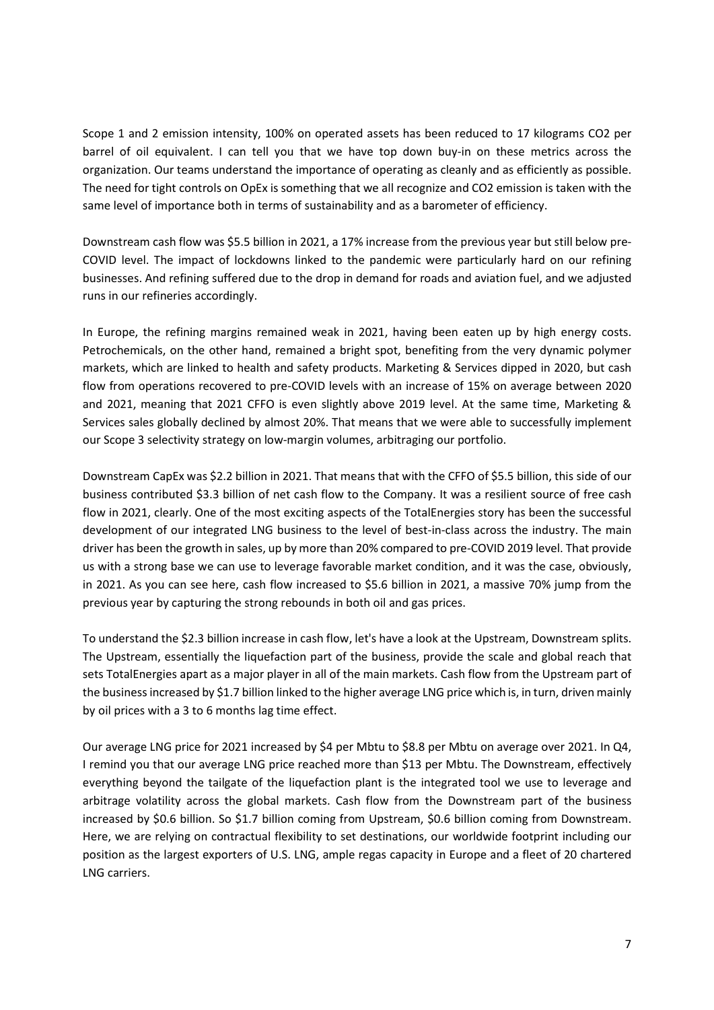Scope 1 and 2 emission intensity, 100% on operated assets has been reduced to 17 kilograms CO2 per barrel of oil equivalent. I can tell you that we have top down buy-in on these metrics across the organization. Our teams understand the importance of operating as cleanly and as efficiently as possible. The need for tight controls on OpEx is something that we all recognize and CO2 emission is taken with the same level of importance both in terms of sustainability and as a barometer of efficiency.

Downstream cash flow was \$5.5 billion in 2021, a 17% increase from the previous year but still below pre-COVID level. The impact of lockdowns linked to the pandemic were particularly hard on our refining businesses. And refining suffered due to the drop in demand for roads and aviation fuel, and we adjusted runs in our refineries accordingly.

In Europe, the refining margins remained weak in 2021, having been eaten up by high energy costs. Petrochemicals, on the other hand, remained a bright spot, benefiting from the very dynamic polymer markets, which are linked to health and safety products. Marketing & Services dipped in 2020, but cash flow from operations recovered to pre-COVID levels with an increase of 15% on average between 2020 and 2021, meaning that 2021 CFFO is even slightly above 2019 level. At the same time, Marketing & Services sales globally declined by almost 20%. That means that we were able to successfully implement our Scope 3 selectivity strategy on low-margin volumes, arbitraging our portfolio.

Downstream CapEx was \$2.2 billion in 2021. That means that with the CFFO of \$5.5 billion, this side of our business contributed \$3.3 billion of net cash flow to the Company. It was a resilient source of free cash flow in 2021, clearly. One of the most exciting aspects of the TotalEnergies story has been the successful development of our integrated LNG business to the level of best-in-class across the industry. The main driver has been the growth in sales, up by more than 20% compared to pre-COVID 2019 level. That provide us with a strong base we can use to leverage favorable market condition, and it was the case, obviously, in 2021. As you can see here, cash flow increased to \$5.6 billion in 2021, a massive 70% jump from the previous year by capturing the strong rebounds in both oil and gas prices.

To understand the \$2.3 billion increase in cash flow, let's have a look at the Upstream, Downstream splits. The Upstream, essentially the liquefaction part of the business, provide the scale and global reach that sets TotalEnergies apart as a major player in all of the main markets. Cash flow from the Upstream part of the business increased by \$1.7 billion linked to the higher average LNG price which is, in turn, driven mainly by oil prices with a 3 to 6 months lag time effect.

Our average LNG price for 2021 increased by \$4 per Mbtu to \$8.8 per Mbtu on average over 2021. In Q4, I remind you that our average LNG price reached more than \$13 per Mbtu. The Downstream, effectively everything beyond the tailgate of the liquefaction plant is the integrated tool we use to leverage and arbitrage volatility across the global markets. Cash flow from the Downstream part of the business increased by \$0.6 billion. So \$1.7 billion coming from Upstream, \$0.6 billion coming from Downstream. Here, we are relying on contractual flexibility to set destinations, our worldwide footprint including our position as the largest exporters of U.S. LNG, ample regas capacity in Europe and a fleet of 20 chartered LNG carriers.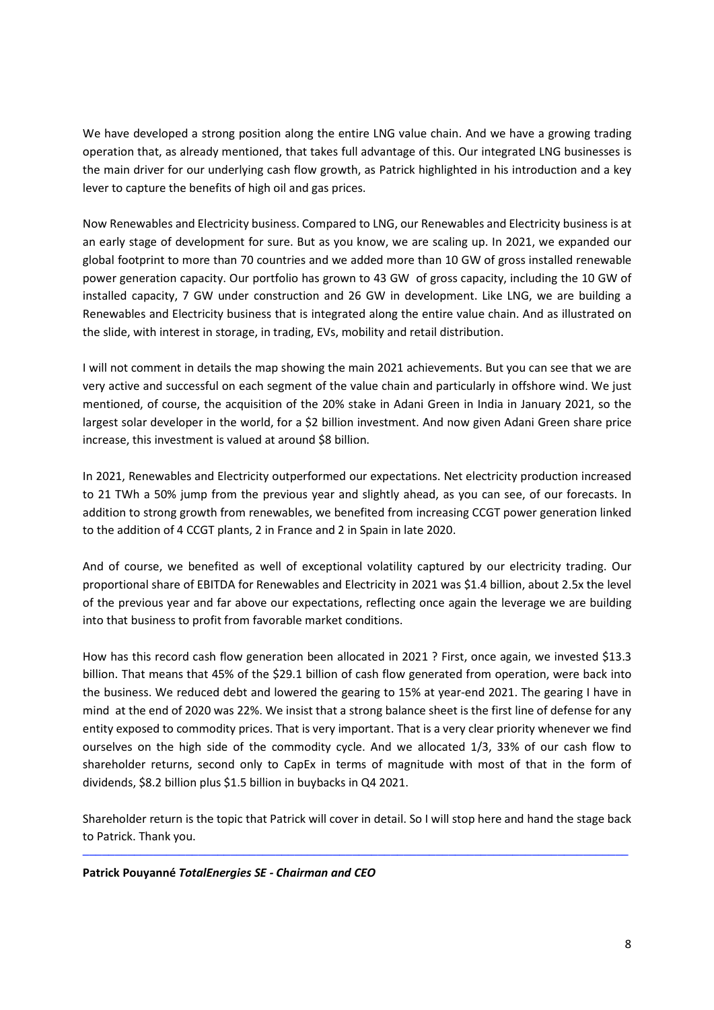We have developed a strong position along the entire LNG value chain. And we have a growing trading operation that, as already mentioned, that takes full advantage of this. Our integrated LNG businesses is the main driver for our underlying cash flow growth, as Patrick highlighted in his introduction and a key lever to capture the benefits of high oil and gas prices.

Now Renewables and Electricity business. Compared to LNG, our Renewables and Electricity business is at an early stage of development for sure. But as you know, we are scaling up. In 2021, we expanded our global footprint to more than 70 countries and we added more than 10 GW of gross installed renewable power generation capacity. Our portfolio has grown to 43 GW of gross capacity, including the 10 GW of installed capacity, 7 GW under construction and 26 GW in development. Like LNG, we are building a Renewables and Electricity business that is integrated along the entire value chain. And as illustrated on the slide, with interest in storage, in trading, EVs, mobility and retail distribution.

I will not comment in details the map showing the main 2021 achievements. But you can see that we are very active and successful on each segment of the value chain and particularly in offshore wind. We just mentioned, of course, the acquisition of the 20% stake in Adani Green in India in January 2021, so the largest solar developer in the world, for a \$2 billion investment. And now given Adani Green share price increase, this investment is valued at around \$8 billion.

In 2021, Renewables and Electricity outperformed our expectations. Net electricity production increased to 21 TWh a 50% jump from the previous year and slightly ahead, as you can see, of our forecasts. In addition to strong growth from renewables, we benefited from increasing CCGT power generation linked to the addition of 4 CCGT plants, 2 in France and 2 in Spain in late 2020.

And of course, we benefited as well of exceptional volatility captured by our electricity trading. Our proportional share of EBITDA for Renewables and Electricity in 2021 was \$1.4 billion, about 2.5x the level of the previous year and far above our expectations, reflecting once again the leverage we are building into that business to profit from favorable market conditions.

How has this record cash flow generation been allocated in 2021 ? First, once again, we invested \$13.3 billion. That means that 45% of the \$29.1 billion of cash flow generated from operation, were back into the business. We reduced debt and lowered the gearing to 15% at year-end 2021. The gearing I have in mind at the end of 2020 was 22%. We insist that a strong balance sheet is the first line of defense for any entity exposed to commodity prices. That is very important. That is a very clear priority whenever we find ourselves on the high side of the commodity cycle. And we allocated 1/3, 33% of our cash flow to shareholder returns, second only to CapEx in terms of magnitude with most of that in the form of dividends, \$8.2 billion plus \$1.5 billion in buybacks in Q4 2021.

Shareholder return is the topic that Patrick will cover in detail. So I will stop here and hand the stage back to Patrick. Thank you.

─────────────────────────────────────────────────────────────────────────────────────

**Patrick Pouyanné** *TotalEnergies SE - Chairman and CEO*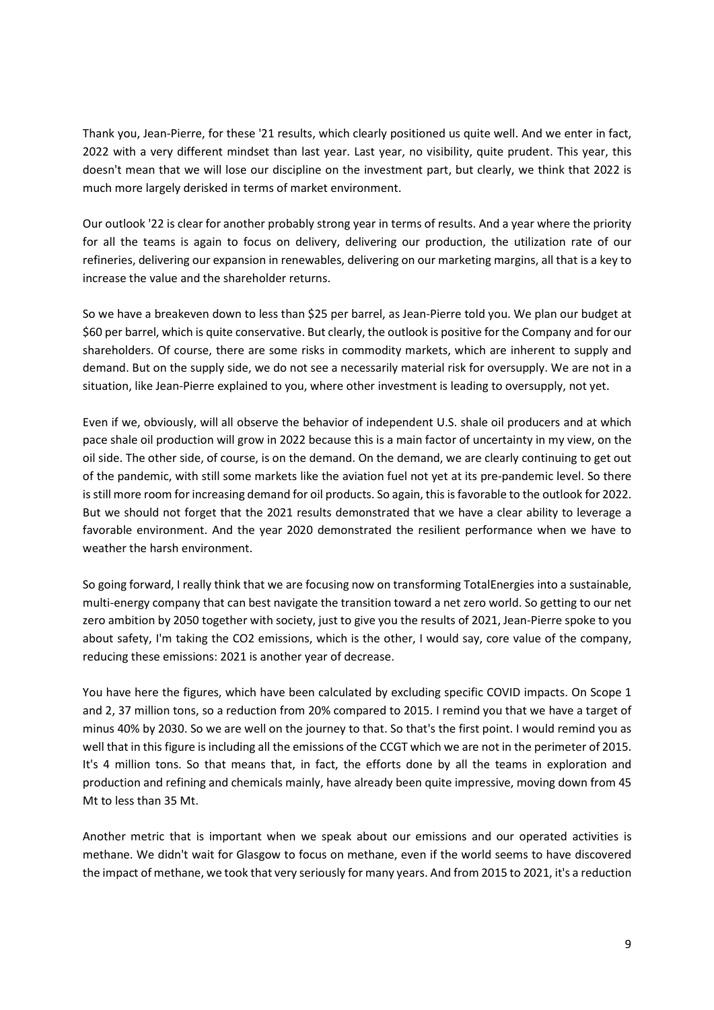Thank you, Jean-Pierre, for these '21 results, which clearly positioned us quite well. And we enter in fact, 2022 with a very different mindset than last year. Last year, no visibility, quite prudent. This year, this doesn't mean that we will lose our discipline on the investment part, but clearly, we think that 2022 is much more largely derisked in terms of market environment.

Our outlook '22 is clear for another probably strong year in terms of results. And a year where the priority for all the teams is again to focus on delivery, delivering our production, the utilization rate of our refineries, delivering our expansion in renewables, delivering on our marketing margins, all that is a key to increase the value and the shareholder returns.

So we have a breakeven down to less than \$25 per barrel, as Jean-Pierre told you. We plan our budget at \$60 per barrel, which is quite conservative. But clearly, the outlook is positive for the Company and for our shareholders. Of course, there are some risks in commodity markets, which are inherent to supply and demand. But on the supply side, we do not see a necessarily material risk for oversupply. We are not in a situation, like Jean-Pierre explained to you, where other investment is leading to oversupply, not yet.

Even if we, obviously, will all observe the behavior of independent U.S. shale oil producers and at which pace shale oil production will grow in 2022 because this is a main factor of uncertainty in my view, on the oil side. The other side, of course, is on the demand. On the demand, we are clearly continuing to get out of the pandemic, with still some markets like the aviation fuel not yet at its pre-pandemic level. So there is still more room for increasing demand for oil products. So again, this is favorable to the outlook for 2022. But we should not forget that the 2021 results demonstrated that we have a clear ability to leverage a favorable environment. And the year 2020 demonstrated the resilient performance when we have to weather the harsh environment.

So going forward, I really think that we are focusing now on transforming TotalEnergies into a sustainable, multi-energy company that can best navigate the transition toward a net zero world. So getting to our net zero ambition by 2050 together with society, just to give you the results of 2021, Jean-Pierre spoke to you about safety, I'm taking the CO2 emissions, which is the other, I would say, core value of the company, reducing these emissions: 2021 is another year of decrease.

You have here the figures, which have been calculated by excluding specific COVID impacts. On Scope 1 and 2, 37 million tons, so a reduction from 20% compared to 2015. I remind you that we have a target of minus 40% by 2030. So we are well on the journey to that. So that's the first point. I would remind you as well that in this figure is including all the emissions of the CCGT which we are not in the perimeter of 2015. It's 4 million tons. So that means that, in fact, the efforts done by all the teams in exploration and production and refining and chemicals mainly, have already been quite impressive, moving down from 45 Mt to less than 35 Mt.

Another metric that is important when we speak about our emissions and our operated activities is methane. We didn't wait for Glasgow to focus on methane, even if the world seems to have discovered the impact of methane, we took that very seriously for many years. And from 2015 to 2021, it's a reduction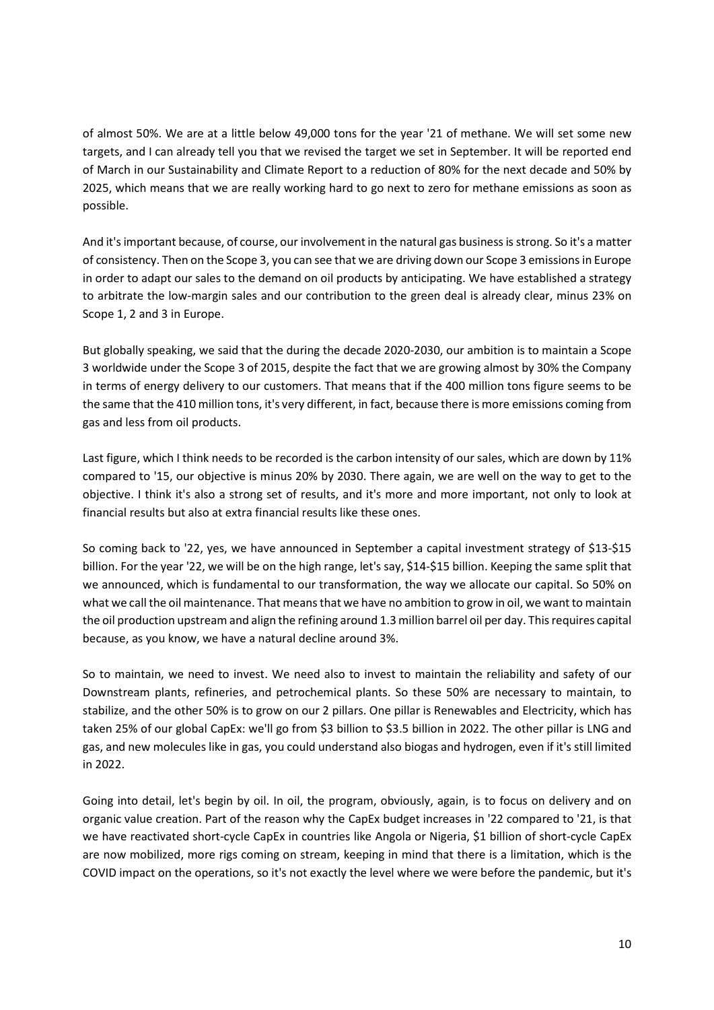of almost 50%. We are at a little below 49,000 tons for the year '21 of methane. We will set some new targets, and I can already tell you that we revised the target we set in September. It will be reported end of March in our Sustainability and Climate Report to a reduction of 80% for the next decade and 50% by 2025, which means that we are really working hard to go next to zero for methane emissions as soon as possible.

And it's important because, of course, our involvement in the natural gas business is strong. So it's a matter of consistency. Then on the Scope 3, you can see that we are driving down our Scope 3 emissions in Europe in order to adapt our sales to the demand on oil products by anticipating. We have established a strategy to arbitrate the low-margin sales and our contribution to the green deal is already clear, minus 23% on Scope 1, 2 and 3 in Europe.

But globally speaking, we said that the during the decade 2020-2030, our ambition is to maintain a Scope 3 worldwide under the Scope 3 of 2015, despite the fact that we are growing almost by 30% the Company in terms of energy delivery to our customers. That means that if the 400 million tons figure seems to be the same that the 410 million tons, it's very different, in fact, because there is more emissions coming from gas and less from oil products.

Last figure, which I think needs to be recorded is the carbon intensity of our sales, which are down by 11% compared to '15, our objective is minus 20% by 2030. There again, we are well on the way to get to the objective. I think it's also a strong set of results, and it's more and more important, not only to look at financial results but also at extra financial results like these ones.

So coming back to '22, yes, we have announced in September a capital investment strategy of \$13-\$15 billion. For the year '22, we will be on the high range, let's say, \$14-\$15 billion. Keeping the same split that we announced, which is fundamental to our transformation, the way we allocate our capital. So 50% on what we call the oil maintenance. That means that we have no ambition to grow in oil, we want to maintain the oil production upstream and align the refining around 1.3 million barrel oil per day. This requires capital because, as you know, we have a natural decline around 3%.

So to maintain, we need to invest. We need also to invest to maintain the reliability and safety of our Downstream plants, refineries, and petrochemical plants. So these 50% are necessary to maintain, to stabilize, and the other 50% is to grow on our 2 pillars. One pillar is Renewables and Electricity, which has taken 25% of our global CapEx: we'll go from \$3 billion to \$3.5 billion in 2022. The other pillar is LNG and gas, and new molecules like in gas, you could understand also biogas and hydrogen, even if it's still limited in 2022.

Going into detail, let's begin by oil. In oil, the program, obviously, again, is to focus on delivery and on organic value creation. Part of the reason why the CapEx budget increases in '22 compared to '21, is that we have reactivated short-cycle CapEx in countries like Angola or Nigeria, \$1 billion of short-cycle CapEx are now mobilized, more rigs coming on stream, keeping in mind that there is a limitation, which is the COVID impact on the operations, so it's not exactly the level where we were before the pandemic, but it's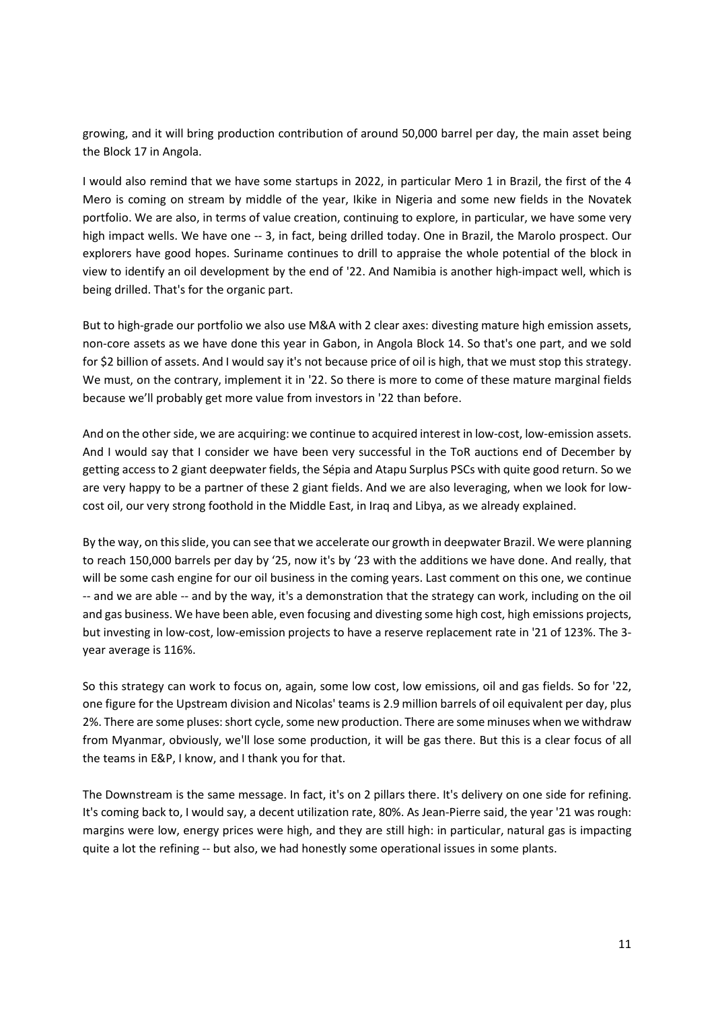growing, and it will bring production contribution of around 50,000 barrel per day, the main asset being the Block 17 in Angola.

I would also remind that we have some startups in 2022, in particular Mero 1 in Brazil, the first of the 4 Mero is coming on stream by middle of the year, Ikike in Nigeria and some new fields in the Novatek portfolio. We are also, in terms of value creation, continuing to explore, in particular, we have some very high impact wells. We have one -- 3, in fact, being drilled today. One in Brazil, the Marolo prospect. Our explorers have good hopes. Suriname continues to drill to appraise the whole potential of the block in view to identify an oil development by the end of '22. And Namibia is another high-impact well, which is being drilled. That's for the organic part.

But to high-grade our portfolio we also use M&A with 2 clear axes: divesting mature high emission assets, non-core assets as we have done this year in Gabon, in Angola Block 14. So that's one part, and we sold for \$2 billion of assets. And I would say it's not because price of oil is high, that we must stop this strategy. We must, on the contrary, implement it in '22. So there is more to come of these mature marginal fields because we'll probably get more value from investors in '22 than before.

And on the other side, we are acquiring: we continue to acquired interest in low-cost, low-emission assets. And I would say that I consider we have been very successful in the ToR auctions end of December by getting access to 2 giant deepwater fields, the Sépia and Atapu Surplus PSCs with quite good return. So we are very happy to be a partner of these 2 giant fields. And we are also leveraging, when we look for lowcost oil, our very strong foothold in the Middle East, in Iraq and Libya, as we already explained.

By the way, on this slide, you can see that we accelerate our growth in deepwater Brazil. We were planning to reach 150,000 barrels per day by '25, now it's by '23 with the additions we have done. And really, that will be some cash engine for our oil business in the coming years. Last comment on this one, we continue -- and we are able -- and by the way, it's a demonstration that the strategy can work, including on the oil and gas business. We have been able, even focusing and divesting some high cost, high emissions projects, but investing in low-cost, low-emission projects to have a reserve replacement rate in '21 of 123%. The 3 year average is 116%.

So this strategy can work to focus on, again, some low cost, low emissions, oil and gas fields. So for '22, one figure for the Upstream division and Nicolas' teams is 2.9 million barrels of oil equivalent per day, plus 2%. There are some pluses: short cycle, some new production. There are some minuses when we withdraw from Myanmar, obviously, we'll lose some production, it will be gas there. But this is a clear focus of all the teams in E&P, I know, and I thank you for that.

The Downstream is the same message. In fact, it's on 2 pillars there. It's delivery on one side for refining. It's coming back to, I would say, a decent utilization rate, 80%. As Jean-Pierre said, the year '21 was rough: margins were low, energy prices were high, and they are still high: in particular, natural gas is impacting quite a lot the refining -- but also, we had honestly some operational issues in some plants.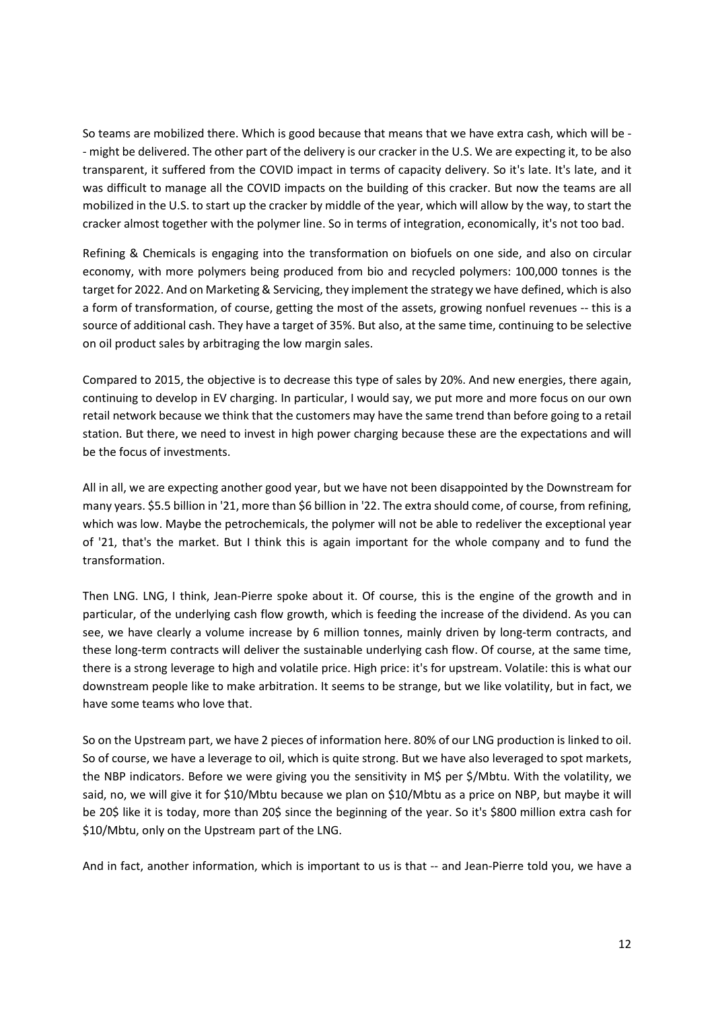So teams are mobilized there. Which is good because that means that we have extra cash, which will be - - might be delivered. The other part of the delivery is our cracker in the U.S. We are expecting it, to be also transparent, it suffered from the COVID impact in terms of capacity delivery. So it's late. It's late, and it was difficult to manage all the COVID impacts on the building of this cracker. But now the teams are all mobilized in the U.S. to start up the cracker by middle of the year, which will allow by the way, to start the cracker almost together with the polymer line. So in terms of integration, economically, it's not too bad.

Refining & Chemicals is engaging into the transformation on biofuels on one side, and also on circular economy, with more polymers being produced from bio and recycled polymers: 100,000 tonnes is the target for 2022. And on Marketing & Servicing, they implement the strategy we have defined, which is also a form of transformation, of course, getting the most of the assets, growing nonfuel revenues -- this is a source of additional cash. They have a target of 35%. But also, at the same time, continuing to be selective on oil product sales by arbitraging the low margin sales.

Compared to 2015, the objective is to decrease this type of sales by 20%. And new energies, there again, continuing to develop in EV charging. In particular, I would say, we put more and more focus on our own retail network because we think that the customers may have the same trend than before going to a retail station. But there, we need to invest in high power charging because these are the expectations and will be the focus of investments.

All in all, we are expecting another good year, but we have not been disappointed by the Downstream for many years. \$5.5 billion in '21, more than \$6 billion in '22. The extra should come, of course, from refining, which was low. Maybe the petrochemicals, the polymer will not be able to redeliver the exceptional year of '21, that's the market. But I think this is again important for the whole company and to fund the transformation.

Then LNG. LNG, I think, Jean-Pierre spoke about it. Of course, this is the engine of the growth and in particular, of the underlying cash flow growth, which is feeding the increase of the dividend. As you can see, we have clearly a volume increase by 6 million tonnes, mainly driven by long-term contracts, and these long-term contracts will deliver the sustainable underlying cash flow. Of course, at the same time, there is a strong leverage to high and volatile price. High price: it's for upstream. Volatile: this is what our downstream people like to make arbitration. It seems to be strange, but we like volatility, but in fact, we have some teams who love that.

So on the Upstream part, we have 2 pieces of information here. 80% of our LNG production is linked to oil. So of course, we have a leverage to oil, which is quite strong. But we have also leveraged to spot markets, the NBP indicators. Before we were giving you the sensitivity in M\$ per \$/Mbtu. With the volatility, we said, no, we will give it for \$10/Mbtu because we plan on \$10/Mbtu as a price on NBP, but maybe it will be 20\$ like it is today, more than 20\$ since the beginning of the year. So it's \$800 million extra cash for \$10/Mbtu, only on the Upstream part of the LNG.

And in fact, another information, which is important to us is that -- and Jean-Pierre told you, we have a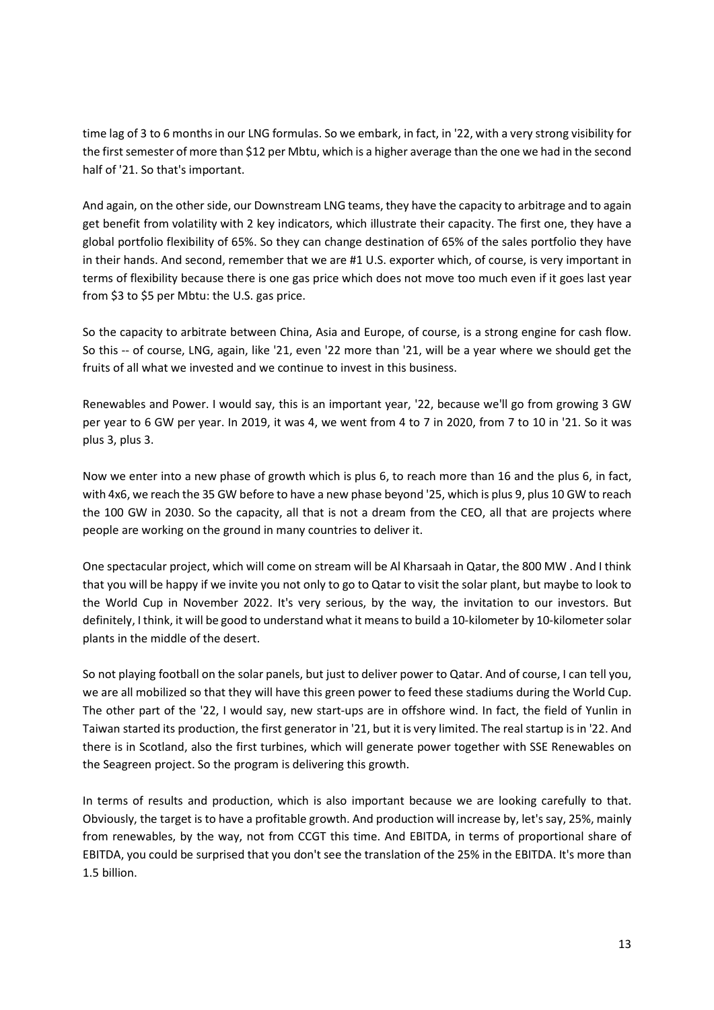time lag of 3 to 6 months in our LNG formulas. So we embark, in fact, in '22, with a very strong visibility for the first semester of more than \$12 per Mbtu, which is a higher average than the one we had in the second half of '21. So that's important.

And again, on the other side, our Downstream LNG teams, they have the capacity to arbitrage and to again get benefit from volatility with 2 key indicators, which illustrate their capacity. The first one, they have a global portfolio flexibility of 65%. So they can change destination of 65% of the sales portfolio they have in their hands. And second, remember that we are #1 U.S. exporter which, of course, is very important in terms of flexibility because there is one gas price which does not move too much even if it goes last year from \$3 to \$5 per Mbtu: the U.S. gas price.

So the capacity to arbitrate between China, Asia and Europe, of course, is a strong engine for cash flow. So this -- of course, LNG, again, like '21, even '22 more than '21, will be a year where we should get the fruits of all what we invested and we continue to invest in this business.

Renewables and Power. I would say, this is an important year, '22, because we'll go from growing 3 GW per year to 6 GW per year. In 2019, it was 4, we went from 4 to 7 in 2020, from 7 to 10 in '21. So it was plus 3, plus 3.

Now we enter into a new phase of growth which is plus 6, to reach more than 16 and the plus 6, in fact, with 4x6, we reach the 35 GW before to have a new phase beyond '25, which is plus 9, plus 10 GW to reach the 100 GW in 2030. So the capacity, all that is not a dream from the CEO, all that are projects where people are working on the ground in many countries to deliver it.

One spectacular project, which will come on stream will be Al Kharsaah in Qatar, the 800 MW . And I think that you will be happy if we invite you not only to go to Qatar to visit the solar plant, but maybe to look to the World Cup in November 2022. It's very serious, by the way, the invitation to our investors. But definitely, I think, it will be good to understand what it means to build a 10-kilometer by 10-kilometer solar plants in the middle of the desert.

So not playing football on the solar panels, but just to deliver power to Qatar. And of course, I can tell you, we are all mobilized so that they will have this green power to feed these stadiums during the World Cup. The other part of the '22, I would say, new start-ups are in offshore wind. In fact, the field of Yunlin in Taiwan started its production, the first generator in '21, but it is very limited. The real startup is in '22. And there is in Scotland, also the first turbines, which will generate power together with SSE Renewables on the Seagreen project. So the program is delivering this growth.

In terms of results and production, which is also important because we are looking carefully to that. Obviously, the target is to have a profitable growth. And production will increase by, let's say, 25%, mainly from renewables, by the way, not from CCGT this time. And EBITDA, in terms of proportional share of EBITDA, you could be surprised that you don't see the translation of the 25% in the EBITDA. It's more than 1.5 billion.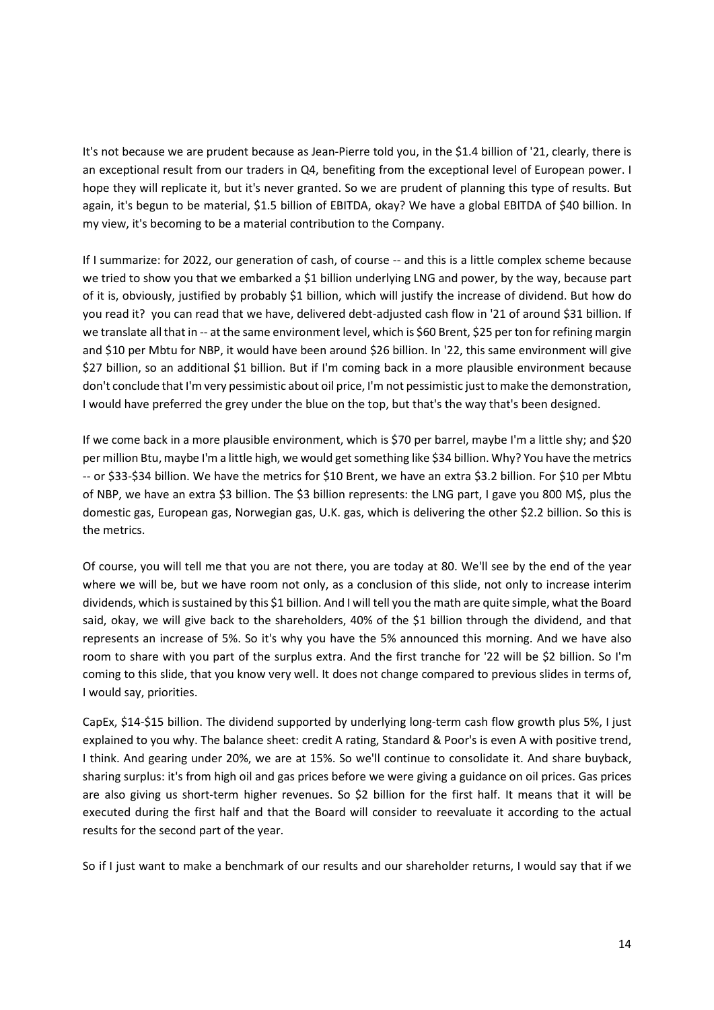It's not because we are prudent because as Jean-Pierre told you, in the \$1.4 billion of '21, clearly, there is an exceptional result from our traders in Q4, benefiting from the exceptional level of European power. I hope they will replicate it, but it's never granted. So we are prudent of planning this type of results. But again, it's begun to be material, \$1.5 billion of EBITDA, okay? We have a global EBITDA of \$40 billion. In my view, it's becoming to be a material contribution to the Company.

If I summarize: for 2022, our generation of cash, of course -- and this is a little complex scheme because we tried to show you that we embarked a \$1 billion underlying LNG and power, by the way, because part of it is, obviously, justified by probably \$1 billion, which will justify the increase of dividend. But how do you read it? you can read that we have, delivered debt-adjusted cash flow in '21 of around \$31 billion. If we translate all that in -- at the same environment level, which is \$60 Brent, \$25 per ton for refining margin and \$10 per Mbtu for NBP, it would have been around \$26 billion. In '22, this same environment will give \$27 billion, so an additional \$1 billion. But if I'm coming back in a more plausible environment because don't conclude that I'm very pessimistic about oil price, I'm not pessimistic just to make the demonstration, I would have preferred the grey under the blue on the top, but that's the way that's been designed.

If we come back in a more plausible environment, which is \$70 per barrel, maybe I'm a little shy; and \$20 per million Btu, maybe I'm a little high, we would get something like \$34 billion. Why? You have the metrics -- or \$33-\$34 billion. We have the metrics for \$10 Brent, we have an extra \$3.2 billion. For \$10 per Mbtu of NBP, we have an extra \$3 billion. The \$3 billion represents: the LNG part, I gave you 800 M\$, plus the domestic gas, European gas, Norwegian gas, U.K. gas, which is delivering the other \$2.2 billion. So this is the metrics.

Of course, you will tell me that you are not there, you are today at 80. We'll see by the end of the year where we will be, but we have room not only, as a conclusion of this slide, not only to increase interim dividends, which is sustained by this \$1 billion. And I will tell you the math are quite simple, what the Board said, okay, we will give back to the shareholders, 40% of the \$1 billion through the dividend, and that represents an increase of 5%. So it's why you have the 5% announced this morning. And we have also room to share with you part of the surplus extra. And the first tranche for '22 will be \$2 billion. So I'm coming to this slide, that you know very well. It does not change compared to previous slides in terms of, I would say, priorities.

CapEx, \$14-\$15 billion. The dividend supported by underlying long-term cash flow growth plus 5%, I just explained to you why. The balance sheet: credit A rating, Standard & Poor's is even A with positive trend, I think. And gearing under 20%, we are at 15%. So we'll continue to consolidate it. And share buyback, sharing surplus: it's from high oil and gas prices before we were giving a guidance on oil prices. Gas prices are also giving us short-term higher revenues. So \$2 billion for the first half. It means that it will be executed during the first half and that the Board will consider to reevaluate it according to the actual results for the second part of the year.

So if I just want to make a benchmark of our results and our shareholder returns, I would say that if we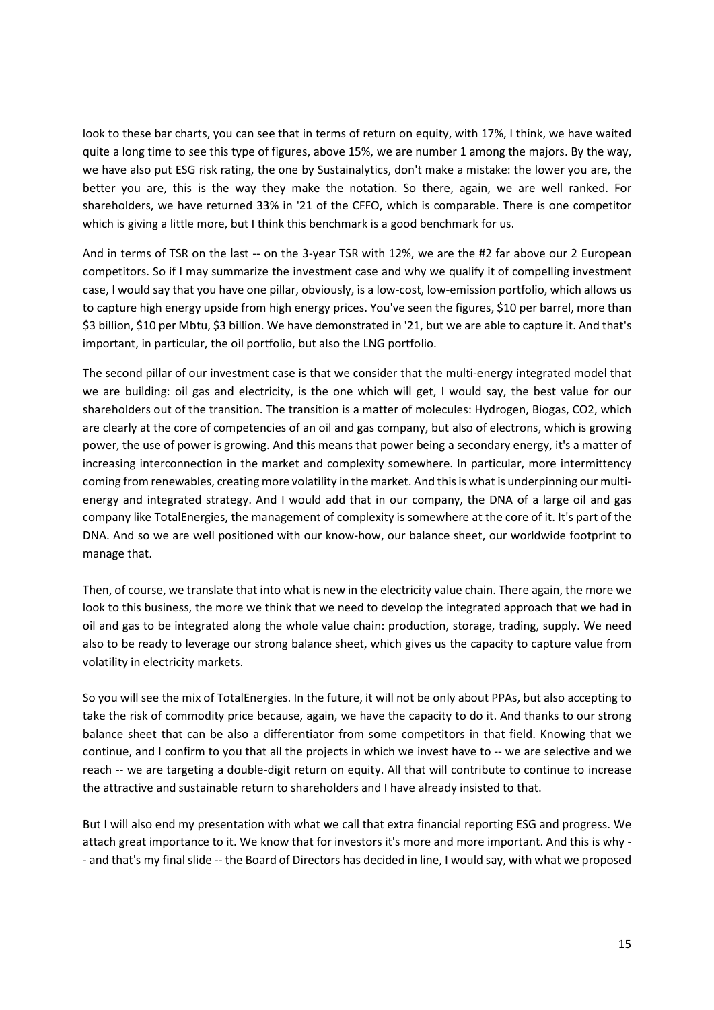look to these bar charts, you can see that in terms of return on equity, with 17%, I think, we have waited quite a long time to see this type of figures, above 15%, we are number 1 among the majors. By the way, we have also put ESG risk rating, the one by Sustainalytics, don't make a mistake: the lower you are, the better you are, this is the way they make the notation. So there, again, we are well ranked. For shareholders, we have returned 33% in '21 of the CFFO, which is comparable. There is one competitor which is giving a little more, but I think this benchmark is a good benchmark for us.

And in terms of TSR on the last -- on the 3-year TSR with 12%, we are the #2 far above our 2 European competitors. So if I may summarize the investment case and why we qualify it of compelling investment case, I would say that you have one pillar, obviously, is a low-cost, low-emission portfolio, which allows us to capture high energy upside from high energy prices. You've seen the figures, \$10 per barrel, more than \$3 billion, \$10 per Mbtu, \$3 billion. We have demonstrated in '21, but we are able to capture it. And that's important, in particular, the oil portfolio, but also the LNG portfolio.

The second pillar of our investment case is that we consider that the multi-energy integrated model that we are building: oil gas and electricity, is the one which will get, I would say, the best value for our shareholders out of the transition. The transition is a matter of molecules: Hydrogen, Biogas, CO2, which are clearly at the core of competencies of an oil and gas company, but also of electrons, which is growing power, the use of power is growing. And this means that power being a secondary energy, it's a matter of increasing interconnection in the market and complexity somewhere. In particular, more intermittency coming from renewables, creating more volatility in the market. And this is what is underpinning our multienergy and integrated strategy. And I would add that in our company, the DNA of a large oil and gas company like TotalEnergies, the management of complexity is somewhere at the core of it. It's part of the DNA. And so we are well positioned with our know-how, our balance sheet, our worldwide footprint to manage that.

Then, of course, we translate that into what is new in the electricity value chain. There again, the more we look to this business, the more we think that we need to develop the integrated approach that we had in oil and gas to be integrated along the whole value chain: production, storage, trading, supply. We need also to be ready to leverage our strong balance sheet, which gives us the capacity to capture value from volatility in electricity markets.

So you will see the mix of TotalEnergies. In the future, it will not be only about PPAs, but also accepting to take the risk of commodity price because, again, we have the capacity to do it. And thanks to our strong balance sheet that can be also a differentiator from some competitors in that field. Knowing that we continue, and I confirm to you that all the projects in which we invest have to -- we are selective and we reach -- we are targeting a double-digit return on equity. All that will contribute to continue to increase the attractive and sustainable return to shareholders and I have already insisted to that.

But I will also end my presentation with what we call that extra financial reporting ESG and progress. We attach great importance to it. We know that for investors it's more and more important. And this is why - - and that's my final slide -- the Board of Directors has decided in line, I would say, with what we proposed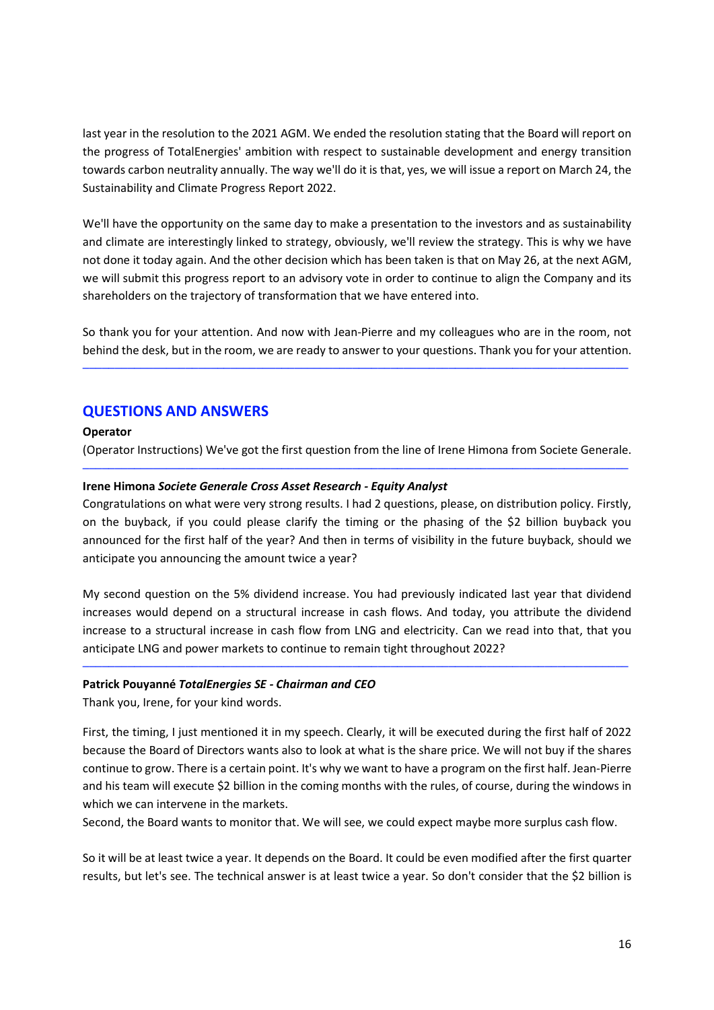last year in the resolution to the 2021 AGM. We ended the resolution stating that the Board will report on the progress of TotalEnergies' ambition with respect to sustainable development and energy transition towards carbon neutrality annually. The way we'll do it is that, yes, we will issue a report on March 24, the Sustainability and Climate Progress Report 2022.

We'll have the opportunity on the same day to make a presentation to the investors and as sustainability and climate are interestingly linked to strategy, obviously, we'll review the strategy. This is why we have not done it today again. And the other decision which has been taken is that on May 26, at the next AGM, we will submit this progress report to an advisory vote in order to continue to align the Company and its shareholders on the trajectory of transformation that we have entered into.

So thank you for your attention. And now with Jean-Pierre and my colleagues who are in the room, not behind the desk, but in the room, we are ready to answer to your questions. Thank you for your attention.

─────────────────────────────────────────────────────────────────────────────────────

# **QUESTIONS AND ANSWERS**

## **Operator**

(Operator Instructions) We've got the first question from the line of Irene Himona from Societe Generale. ─────────────────────────────────────────────────────────────────────────────────────

## **Irene Himona** *Societe Generale Cross Asset Research - Equity Analyst*

Congratulations on what were very strong results. I had 2 questions, please, on distribution policy. Firstly, on the buyback, if you could please clarify the timing or the phasing of the \$2 billion buyback you announced for the first half of the year? And then in terms of visibility in the future buyback, should we anticipate you announcing the amount twice a year?

My second question on the 5% dividend increase. You had previously indicated last year that dividend increases would depend on a structural increase in cash flows. And today, you attribute the dividend increase to a structural increase in cash flow from LNG and electricity. Can we read into that, that you anticipate LNG and power markets to continue to remain tight throughout 2022?

─────────────────────────────────────────────────────────────────────────────────────

#### **Patrick Pouyanné** *TotalEnergies SE - Chairman and CEO*

Thank you, Irene, for your kind words.

First, the timing, I just mentioned it in my speech. Clearly, it will be executed during the first half of 2022 because the Board of Directors wants also to look at what is the share price. We will not buy if the shares continue to grow. There is a certain point. It's why we want to have a program on the first half. Jean-Pierre and his team will execute \$2 billion in the coming months with the rules, of course, during the windows in which we can intervene in the markets.

Second, the Board wants to monitor that. We will see, we could expect maybe more surplus cash flow.

So it will be at least twice a year. It depends on the Board. It could be even modified after the first quarter results, but let's see. The technical answer is at least twice a year. So don't consider that the \$2 billion is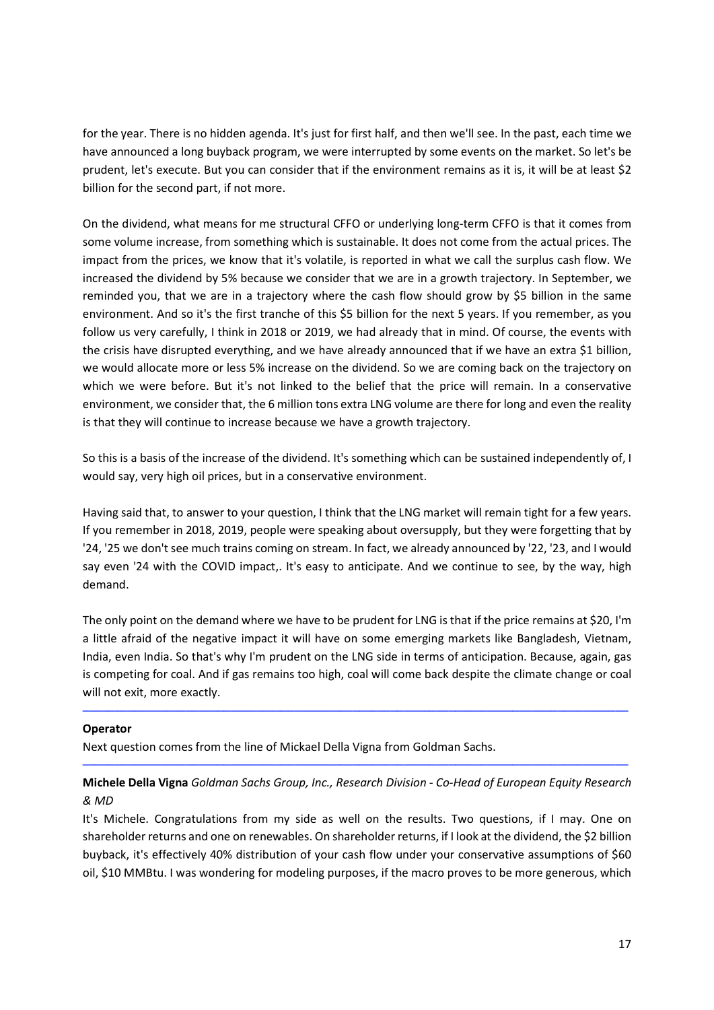for the year. There is no hidden agenda. It's just for first half, and then we'll see. In the past, each time we have announced a long buyback program, we were interrupted by some events on the market. So let's be prudent, let's execute. But you can consider that if the environment remains as it is, it will be at least \$2 billion for the second part, if not more.

On the dividend, what means for me structural CFFO or underlying long-term CFFO is that it comes from some volume increase, from something which is sustainable. It does not come from the actual prices. The impact from the prices, we know that it's volatile, is reported in what we call the surplus cash flow. We increased the dividend by 5% because we consider that we are in a growth trajectory. In September, we reminded you, that we are in a trajectory where the cash flow should grow by \$5 billion in the same environment. And so it's the first tranche of this \$5 billion for the next 5 years. If you remember, as you follow us very carefully, I think in 2018 or 2019, we had already that in mind. Of course, the events with the crisis have disrupted everything, and we have already announced that if we have an extra \$1 billion, we would allocate more or less 5% increase on the dividend. So we are coming back on the trajectory on which we were before. But it's not linked to the belief that the price will remain. In a conservative environment, we consider that, the 6 million tons extra LNG volume are there for long and even the reality is that they will continue to increase because we have a growth trajectory.

So this is a basis of the increase of the dividend. It's something which can be sustained independently of, I would say, very high oil prices, but in a conservative environment.

Having said that, to answer to your question, I think that the LNG market will remain tight for a few years. If you remember in 2018, 2019, people were speaking about oversupply, but they were forgetting that by '24, '25 we don't see much trains coming on stream. In fact, we already announced by '22, '23, and I would say even '24 with the COVID impact,. It's easy to anticipate. And we continue to see, by the way, high demand.

The only point on the demand where we have to be prudent for LNG is that if the price remains at \$20, I'm a little afraid of the negative impact it will have on some emerging markets like Bangladesh, Vietnam, India, even India. So that's why I'm prudent on the LNG side in terms of anticipation. Because, again, gas is competing for coal. And if gas remains too high, coal will come back despite the climate change or coal will not exit, more exactly.

─────────────────────────────────────────────────────────────────────────────────────

## **Operator**

Next question comes from the line of Mickael Della Vigna from Goldman Sachs.

# **Michele Della Vigna** *Goldman Sachs Group, Inc., Research Division - Co-Head of European Equity Research & MD*

─────────────────────────────────────────────────────────────────────────────────────

It's Michele. Congratulations from my side as well on the results. Two questions, if I may. One on shareholder returns and one on renewables. On shareholder returns, if I look at the dividend, the \$2 billion buyback, it's effectively 40% distribution of your cash flow under your conservative assumptions of \$60 oil, \$10 MMBtu. I was wondering for modeling purposes, if the macro proves to be more generous, which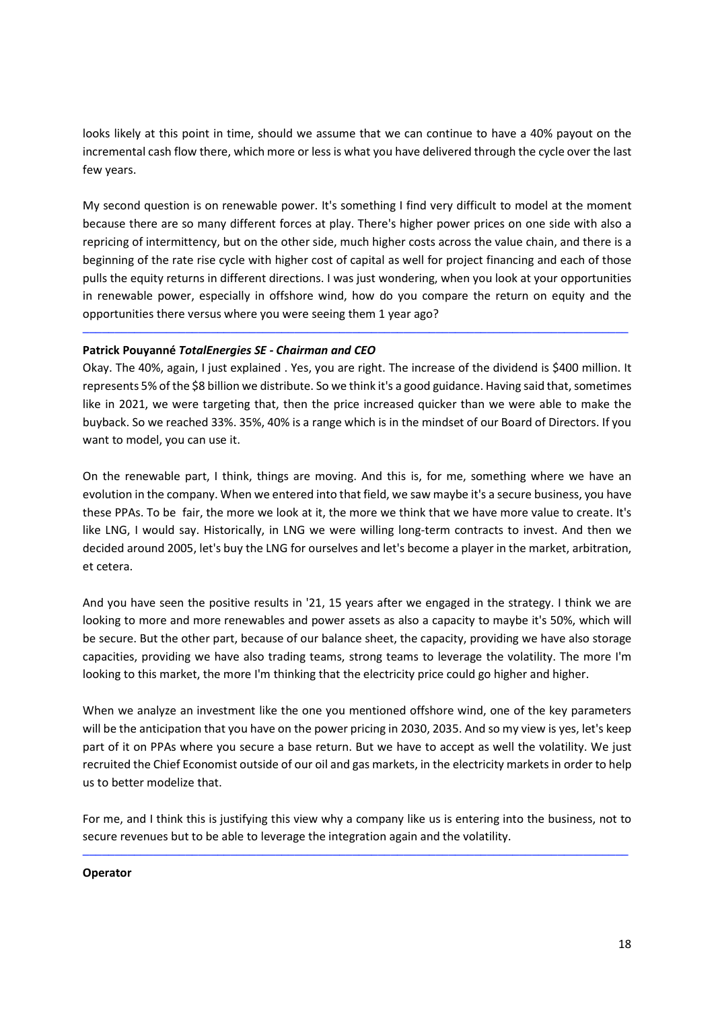looks likely at this point in time, should we assume that we can continue to have a 40% payout on the incremental cash flow there, which more or less is what you have delivered through the cycle over the last few years.

My second question is on renewable power. It's something I find very difficult to model at the moment because there are so many different forces at play. There's higher power prices on one side with also a repricing of intermittency, but on the other side, much higher costs across the value chain, and there is a beginning of the rate rise cycle with higher cost of capital as well for project financing and each of those pulls the equity returns in different directions. I was just wondering, when you look at your opportunities in renewable power, especially in offshore wind, how do you compare the return on equity and the opportunities there versus where you were seeing them 1 year ago?

## **Patrick Pouyanné** *TotalEnergies SE - Chairman and CEO*

Okay. The 40%, again, I just explained . Yes, you are right. The increase of the dividend is \$400 million. It represents 5% of the \$8 billion we distribute. So we think it's a good guidance. Having said that, sometimes like in 2021, we were targeting that, then the price increased quicker than we were able to make the buyback. So we reached 33%. 35%, 40% is a range which is in the mindset of our Board of Directors. If you want to model, you can use it.

─────────────────────────────────────────────────────────────────────────────────────

On the renewable part, I think, things are moving. And this is, for me, something where we have an evolution in the company. When we entered into that field, we saw maybe it's a secure business, you have these PPAs. To be fair, the more we look at it, the more we think that we have more value to create. It's like LNG, I would say. Historically, in LNG we were willing long-term contracts to invest. And then we decided around 2005, let's buy the LNG for ourselves and let's become a player in the market, arbitration, et cetera.

And you have seen the positive results in '21, 15 years after we engaged in the strategy. I think we are looking to more and more renewables and power assets as also a capacity to maybe it's 50%, which will be secure. But the other part, because of our balance sheet, the capacity, providing we have also storage capacities, providing we have also trading teams, strong teams to leverage the volatility. The more I'm looking to this market, the more I'm thinking that the electricity price could go higher and higher.

When we analyze an investment like the one you mentioned offshore wind, one of the key parameters will be the anticipation that you have on the power pricing in 2030, 2035. And so my view is yes, let's keep part of it on PPAs where you secure a base return. But we have to accept as well the volatility. We just recruited the Chief Economist outside of our oil and gas markets, in the electricity markets in order to help us to better modelize that.

For me, and I think this is justifying this view why a company like us is entering into the business, not to secure revenues but to be able to leverage the integration again and the volatility.

─────────────────────────────────────────────────────────────────────────────────────

## **Operator**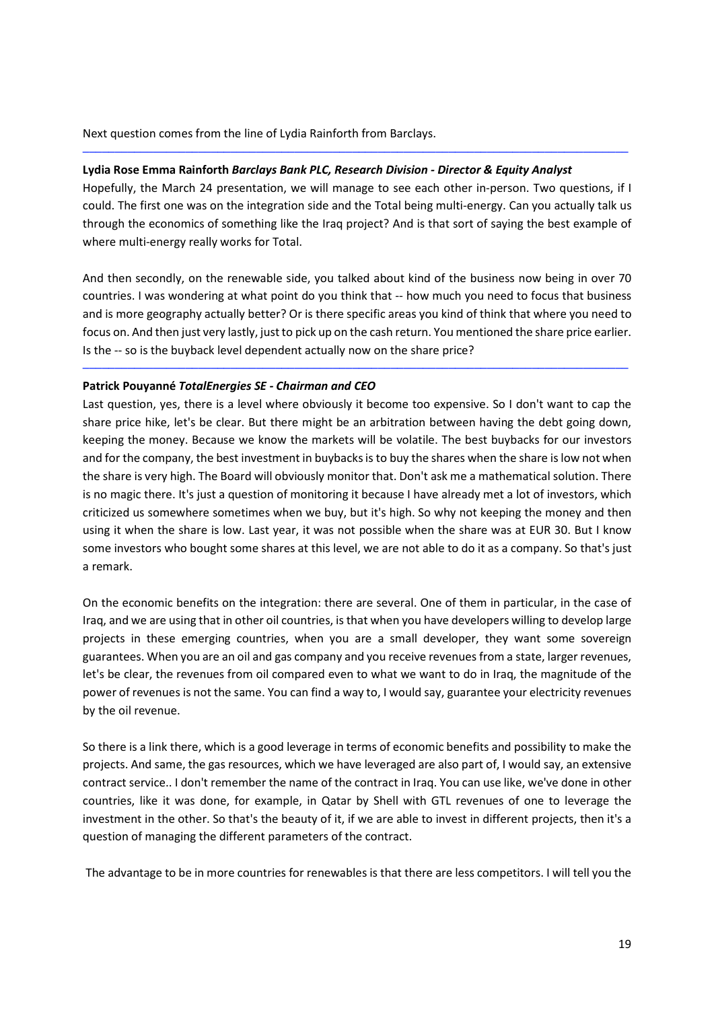Next question comes from the line of Lydia Rainforth from Barclays.

## **Lydia Rose Emma Rainforth** *Barclays Bank PLC, Research Division - Director & Equity Analyst*

Hopefully, the March 24 presentation, we will manage to see each other in-person. Two questions, if I could. The first one was on the integration side and the Total being multi-energy. Can you actually talk us through the economics of something like the Iraq project? And is that sort of saying the best example of where multi-energy really works for Total.

─────────────────────────────────────────────────────────────────────────────────────

And then secondly, on the renewable side, you talked about kind of the business now being in over 70 countries. I was wondering at what point do you think that -- how much you need to focus that business and is more geography actually better? Or is there specific areas you kind of think that where you need to focus on. And then just very lastly, just to pick up on the cash return. You mentioned the share price earlier. Is the -- so is the buyback level dependent actually now on the share price?

─────────────────────────────────────────────────────────────────────────────────────

## **Patrick Pouyanné** *TotalEnergies SE - Chairman and CEO*

Last question, yes, there is a level where obviously it become too expensive. So I don't want to cap the share price hike, let's be clear. But there might be an arbitration between having the debt going down, keeping the money. Because we know the markets will be volatile. The best buybacks for our investors and for the company, the best investment in buybacks is to buy the shares when the share is low not when the share is very high. The Board will obviously monitor that. Don't ask me a mathematical solution. There is no magic there. It's just a question of monitoring it because I have already met a lot of investors, which criticized us somewhere sometimes when we buy, but it's high. So why not keeping the money and then using it when the share is low. Last year, it was not possible when the share was at EUR 30. But I know some investors who bought some shares at this level, we are not able to do it as a company. So that's just a remark.

On the economic benefits on the integration: there are several. One of them in particular, in the case of Iraq, and we are using that in other oil countries, is that when you have developers willing to develop large projects in these emerging countries, when you are a small developer, they want some sovereign guarantees. When you are an oil and gas company and you receive revenues from a state, larger revenues, let's be clear, the revenues from oil compared even to what we want to do in Iraq, the magnitude of the power of revenues is not the same. You can find a way to, I would say, guarantee your electricity revenues by the oil revenue.

So there is a link there, which is a good leverage in terms of economic benefits and possibility to make the projects. And same, the gas resources, which we have leveraged are also part of, I would say, an extensive contract service.. I don't remember the name of the contract in Iraq. You can use like, we've done in other countries, like it was done, for example, in Qatar by Shell with GTL revenues of one to leverage the investment in the other. So that's the beauty of it, if we are able to invest in different projects, then it's a question of managing the different parameters of the contract.

The advantage to be in more countries for renewables is that there are less competitors. I will tell you the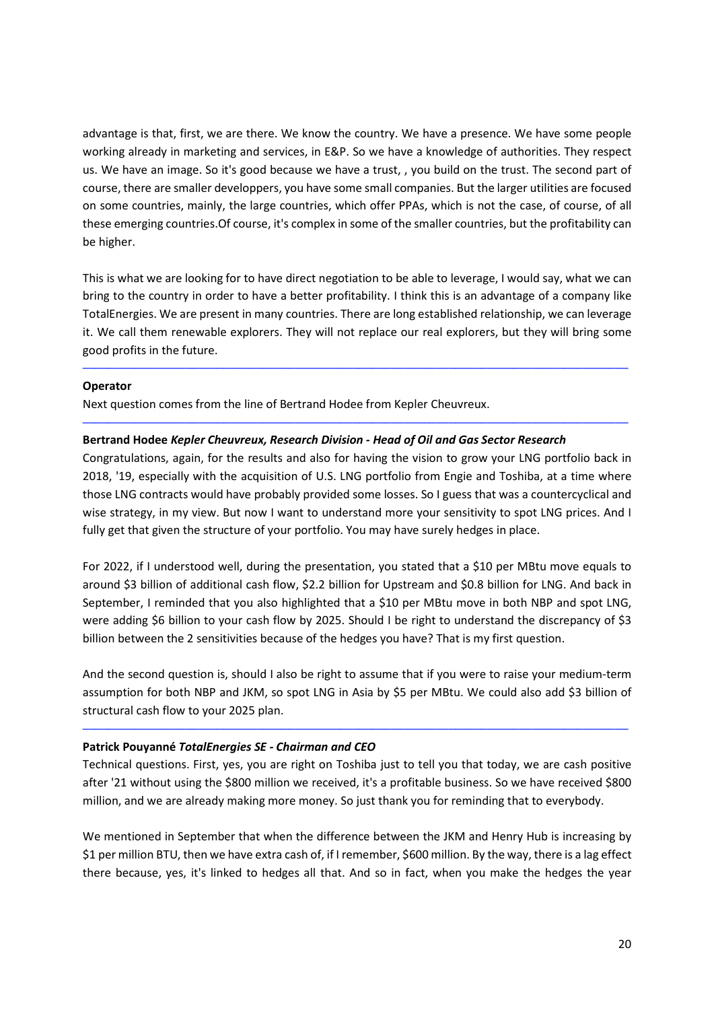advantage is that, first, we are there. We know the country. We have a presence. We have some people working already in marketing and services, in E&P. So we have a knowledge of authorities. They respect us. We have an image. So it's good because we have a trust, , you build on the trust. The second part of course, there are smaller developpers, you have some small companies. But the larger utilities are focused on some countries, mainly, the large countries, which offer PPAs, which is not the case, of course, of all these emerging countries.Of course, it's complex in some of the smaller countries, but the profitability can be higher.

This is what we are looking for to have direct negotiation to be able to leverage, I would say, what we can bring to the country in order to have a better profitability. I think this is an advantage of a company like TotalEnergies. We are present in many countries. There are long established relationship, we can leverage it. We call them renewable explorers. They will not replace our real explorers, but they will bring some good profits in the future.

─────────────────────────────────────────────────────────────────────────────────────

─────────────────────────────────────────────────────────────────────────────────────

## **Operator**

Next question comes from the line of Bertrand Hodee from Kepler Cheuvreux.

## **Bertrand Hodee** *Kepler Cheuvreux, Research Division - Head of Oil and Gas Sector Research*

Congratulations, again, for the results and also for having the vision to grow your LNG portfolio back in 2018, '19, especially with the acquisition of U.S. LNG portfolio from Engie and Toshiba, at a time where those LNG contracts would have probably provided some losses. So I guess that was a countercyclical and wise strategy, in my view. But now I want to understand more your sensitivity to spot LNG prices. And I fully get that given the structure of your portfolio. You may have surely hedges in place.

For 2022, if I understood well, during the presentation, you stated that a \$10 per MBtu move equals to around \$3 billion of additional cash flow, \$2.2 billion for Upstream and \$0.8 billion for LNG. And back in September, I reminded that you also highlighted that a \$10 per MBtu move in both NBP and spot LNG, were adding \$6 billion to your cash flow by 2025. Should I be right to understand the discrepancy of \$3 billion between the 2 sensitivities because of the hedges you have? That is my first question.

And the second question is, should I also be right to assume that if you were to raise your medium-term assumption for both NBP and JKM, so spot LNG in Asia by \$5 per MBtu. We could also add \$3 billion of structural cash flow to your 2025 plan.

─────────────────────────────────────────────────────────────────────────────────────

#### **Patrick Pouyanné** *TotalEnergies SE - Chairman and CEO*

Technical questions. First, yes, you are right on Toshiba just to tell you that today, we are cash positive after '21 without using the \$800 million we received, it's a profitable business. So we have received \$800 million, and we are already making more money. So just thank you for reminding that to everybody.

We mentioned in September that when the difference between the JKM and Henry Hub is increasing by \$1 per million BTU, then we have extra cash of, if I remember, \$600 million. By the way, there is a lag effect there because, yes, it's linked to hedges all that. And so in fact, when you make the hedges the year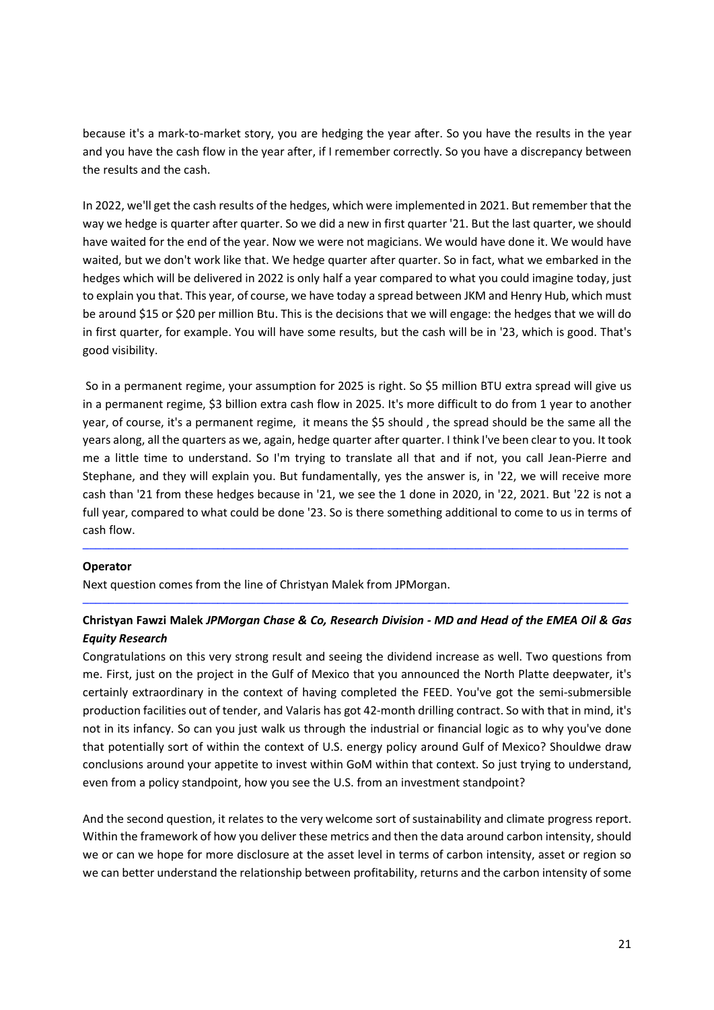because it's a mark-to-market story, you are hedging the year after. So you have the results in the year and you have the cash flow in the year after, if I remember correctly. So you have a discrepancy between the results and the cash.

In 2022, we'll get the cash results of the hedges, which were implemented in 2021. But remember that the way we hedge is quarter after quarter. So we did a new in first quarter '21. But the last quarter, we should have waited for the end of the year. Now we were not magicians. We would have done it. We would have waited, but we don't work like that. We hedge quarter after quarter. So in fact, what we embarked in the hedges which will be delivered in 2022 is only half a year compared to what you could imagine today, just to explain you that. This year, of course, we have today a spread between JKM and Henry Hub, which must be around \$15 or \$20 per million Btu. This is the decisions that we will engage: the hedges that we will do in first quarter, for example. You will have some results, but the cash will be in '23, which is good. That's good visibility.

 So in a permanent regime, your assumption for 2025 is right. So \$5 million BTU extra spread will give us in a permanent regime, \$3 billion extra cash flow in 2025. It's more difficult to do from 1 year to another year, of course, it's a permanent regime, it means the \$5 should , the spread should be the same all the years along, all the quarters as we, again, hedge quarter after quarter. I think I've been clear to you. It took me a little time to understand. So I'm trying to translate all that and if not, you call Jean-Pierre and Stephane, and they will explain you. But fundamentally, yes the answer is, in '22, we will receive more cash than '21 from these hedges because in '21, we see the 1 done in 2020, in '22, 2021. But '22 is not a full year, compared to what could be done '23. So is there something additional to come to us in terms of cash flow.

## **Operator**

Next question comes from the line of Christyan Malek from JPMorgan.

## **Christyan Fawzi Malek** *JPMorgan Chase & Co, Research Division - MD and Head of the EMEA Oil & Gas Equity Research*

─────────────────────────────────────────────────────────────────────────────────────

─────────────────────────────────────────────────────────────────────────────────────

Congratulations on this very strong result and seeing the dividend increase as well. Two questions from me. First, just on the project in the Gulf of Mexico that you announced the North Platte deepwater, it's certainly extraordinary in the context of having completed the FEED. You've got the semi-submersible production facilities out of tender, and Valaris has got 42-month drilling contract. So with that in mind, it's not in its infancy. So can you just walk us through the industrial or financial logic as to why you've done that potentially sort of within the context of U.S. energy policy around Gulf of Mexico? Shouldwe draw conclusions around your appetite to invest within GoM within that context. So just trying to understand, even from a policy standpoint, how you see the U.S. from an investment standpoint?

And the second question, it relates to the very welcome sort of sustainability and climate progress report. Within the framework of how you deliver these metrics and then the data around carbon intensity, should we or can we hope for more disclosure at the asset level in terms of carbon intensity, asset or region so we can better understand the relationship between profitability, returns and the carbon intensity of some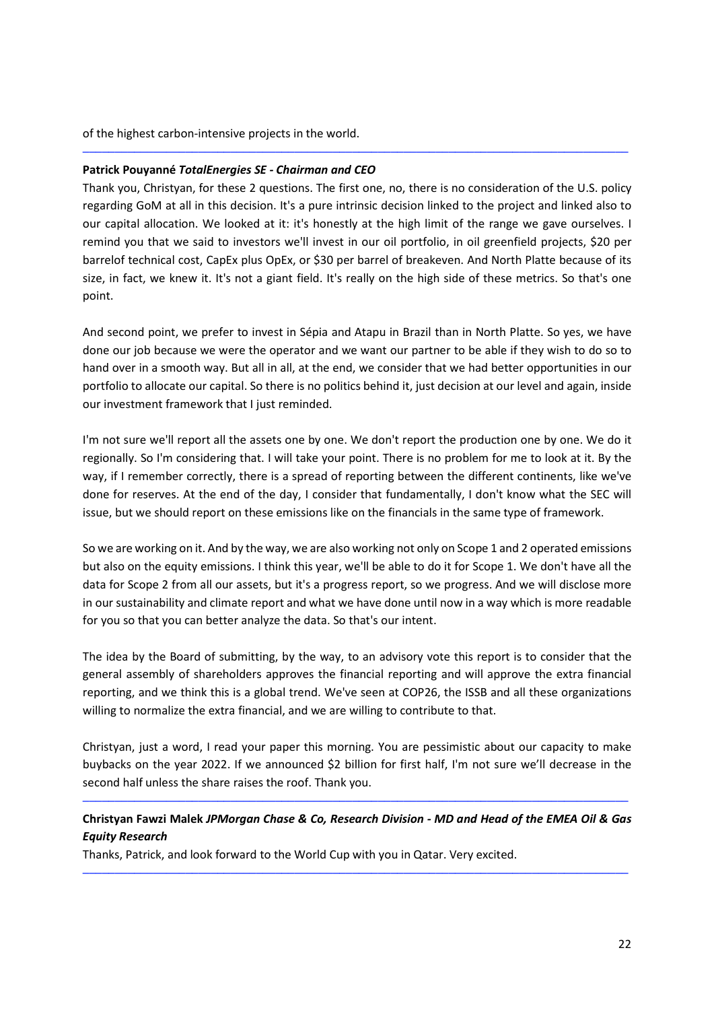of the highest carbon-intensive projects in the world.

## **Patrick Pouyanné** *TotalEnergies SE - Chairman and CEO*

Thank you, Christyan, for these 2 questions. The first one, no, there is no consideration of the U.S. policy regarding GoM at all in this decision. It's a pure intrinsic decision linked to the project and linked also to our capital allocation. We looked at it: it's honestly at the high limit of the range we gave ourselves. I remind you that we said to investors we'll invest in our oil portfolio, in oil greenfield projects, \$20 per barrelof technical cost, CapEx plus OpEx, or \$30 per barrel of breakeven. And North Platte because of its size, in fact, we knew it. It's not a giant field. It's really on the high side of these metrics. So that's one point.

─────────────────────────────────────────────────────────────────────────────────────

And second point, we prefer to invest in Sépia and Atapu in Brazil than in North Platte. So yes, we have done our job because we were the operator and we want our partner to be able if they wish to do so to hand over in a smooth way. But all in all, at the end, we consider that we had better opportunities in our portfolio to allocate our capital. So there is no politics behind it, just decision at our level and again, inside our investment framework that I just reminded.

I'm not sure we'll report all the assets one by one. We don't report the production one by one. We do it regionally. So I'm considering that. I will take your point. There is no problem for me to look at it. By the way, if I remember correctly, there is a spread of reporting between the different continents, like we've done for reserves. At the end of the day, I consider that fundamentally, I don't know what the SEC will issue, but we should report on these emissions like on the financials in the same type of framework.

So we are working on it. And by the way, we are also working not only on Scope 1 and 2 operated emissions but also on the equity emissions. I think this year, we'll be able to do it for Scope 1. We don't have all the data for Scope 2 from all our assets, but it's a progress report, so we progress. And we will disclose more in our sustainability and climate report and what we have done until now in a way which is more readable for you so that you can better analyze the data. So that's our intent.

The idea by the Board of submitting, by the way, to an advisory vote this report is to consider that the general assembly of shareholders approves the financial reporting and will approve the extra financial reporting, and we think this is a global trend. We've seen at COP26, the ISSB and all these organizations willing to normalize the extra financial, and we are willing to contribute to that.

Christyan, just a word, I read your paper this morning. You are pessimistic about our capacity to make buybacks on the year 2022. If we announced \$2 billion for first half, I'm not sure we'll decrease in the second half unless the share raises the roof. Thank you.

## **Christyan Fawzi Malek** *JPMorgan Chase & Co, Research Division - MD and Head of the EMEA Oil & Gas Equity Research*

─────────────────────────────────────────────────────────────────────────────────────

─────────────────────────────────────────────────────────────────────────────────────

Thanks, Patrick, and look forward to the World Cup with you in Qatar. Very excited.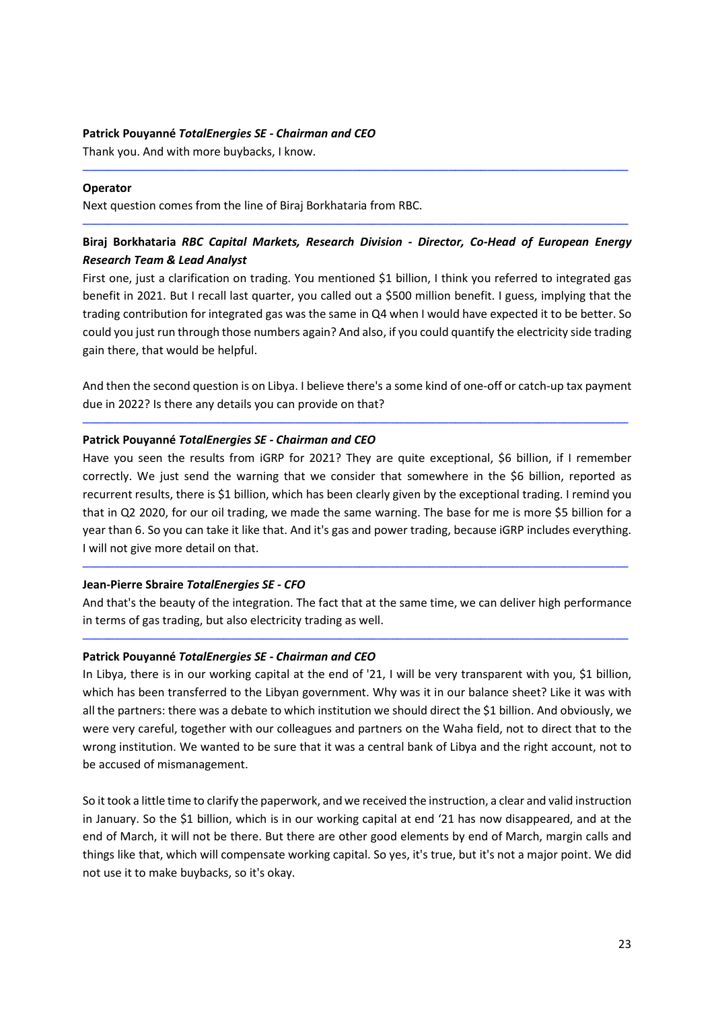#### **Patrick Pouyanné** *TotalEnergies SE - Chairman and CEO*

Thank you. And with more buybacks, I know.

### **Operator**

Next question comes from the line of Biraj Borkhataria from RBC.

## **Biraj Borkhataria** *RBC Capital Markets, Research Division - Director, Co-Head of European Energy Research Team & Lead Analyst*

─────────────────────────────────────────────────────────────────────────────────────

─────────────────────────────────────────────────────────────────────────────────────

First one, just a clarification on trading. You mentioned \$1 billion, I think you referred to integrated gas benefit in 2021. But I recall last quarter, you called out a \$500 million benefit. I guess, implying that the trading contribution for integrated gas was the same in Q4 when I would have expected it to be better. So could you just run through those numbers again? And also, if you could quantify the electricity side trading gain there, that would be helpful.

And then the second question is on Libya. I believe there's a some kind of one-off or catch-up tax payment due in 2022? Is there any details you can provide on that?

─────────────────────────────────────────────────────────────────────────────────────

## **Patrick Pouyanné** *TotalEnergies SE - Chairman and CEO*

Have you seen the results from iGRP for 2021? They are quite exceptional, \$6 billion, if I remember correctly. We just send the warning that we consider that somewhere in the \$6 billion, reported as recurrent results, there is \$1 billion, which has been clearly given by the exceptional trading. I remind you that in Q2 2020, for our oil trading, we made the same warning. The base for me is more \$5 billion for a year than 6. So you can take it like that. And it's gas and power trading, because iGRP includes everything. I will not give more detail on that.

## **Jean-Pierre Sbraire** *TotalEnergies SE - CFO*

And that's the beauty of the integration. The fact that at the same time, we can deliver high performance in terms of gas trading, but also electricity trading as well.

─────────────────────────────────────────────────────────────────────────────────────

─────────────────────────────────────────────────────────────────────────────────────

## **Patrick Pouyanné** *TotalEnergies SE - Chairman and CEO*

In Libya, there is in our working capital at the end of '21, I will be very transparent with you, \$1 billion, which has been transferred to the Libyan government. Why was it in our balance sheet? Like it was with all the partners: there was a debate to which institution we should direct the \$1 billion. And obviously, we were very careful, together with our colleagues and partners on the Waha field, not to direct that to the wrong institution. We wanted to be sure that it was a central bank of Libya and the right account, not to be accused of mismanagement.

So it took a little time to clarify the paperwork, and we received the instruction, a clear and valid instruction in January. So the \$1 billion, which is in our working capital at end '21 has now disappeared, and at the end of March, it will not be there. But there are other good elements by end of March, margin calls and things like that, which will compensate working capital. So yes, it's true, but it's not a major point. We did not use it to make buybacks, so it's okay.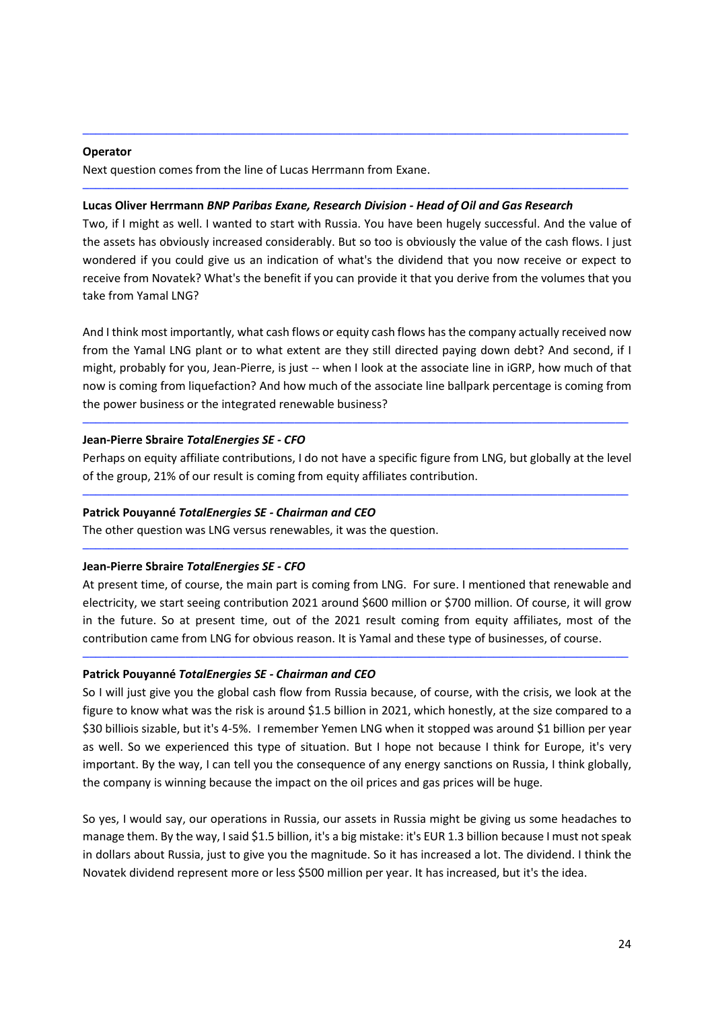#### **Operator**

Next question comes from the line of Lucas Herrmann from Exane.

#### **Lucas Oliver Herrmann** *BNP Paribas Exane, Research Division - Head of Oil and Gas Research*

Two, if I might as well. I wanted to start with Russia. You have been hugely successful. And the value of the assets has obviously increased considerably. But so too is obviously the value of the cash flows. I just wondered if you could give us an indication of what's the dividend that you now receive or expect to receive from Novatek? What's the benefit if you can provide it that you derive from the volumes that you take from Yamal LNG?

─────────────────────────────────────────────────────────────────────────────────────

─────────────────────────────────────────────────────────────────────────────────────

And I think most importantly, what cash flows or equity cash flows has the company actually received now from the Yamal LNG plant or to what extent are they still directed paying down debt? And second, if I might, probably for you, Jean-Pierre, is just -- when I look at the associate line in iGRP, how much of that now is coming from liquefaction? And how much of the associate line ballpark percentage is coming from the power business or the integrated renewable business?

## **Jean-Pierre Sbraire** *TotalEnergies SE - CFO*

Perhaps on equity affiliate contributions, I do not have a specific figure from LNG, but globally at the level of the group, 21% of our result is coming from equity affiliates contribution.

─────────────────────────────────────────────────────────────────────────────────────

─────────────────────────────────────────────────────────────────────────────────────

─────────────────────────────────────────────────────────────────────────────────────

#### **Patrick Pouyanné** *TotalEnergies SE - Chairman and CEO*

The other question was LNG versus renewables, it was the question.

#### **Jean-Pierre Sbraire** *TotalEnergies SE - CFO*

At present time, of course, the main part is coming from LNG. For sure. I mentioned that renewable and electricity, we start seeing contribution 2021 around \$600 million or \$700 million. Of course, it will grow in the future. So at present time, out of the 2021 result coming from equity affiliates, most of the contribution came from LNG for obvious reason. It is Yamal and these type of businesses, of course.

─────────────────────────────────────────────────────────────────────────────────────

#### **Patrick Pouyanné** *TotalEnergies SE - Chairman and CEO*

So I will just give you the global cash flow from Russia because, of course, with the crisis, we look at the figure to know what was the risk is around \$1.5 billion in 2021, which honestly, at the size compared to a \$30 billiois sizable, but it's 4-5%. I remember Yemen LNG when it stopped was around \$1 billion per year as well. So we experienced this type of situation. But I hope not because I think for Europe, it's very important. By the way, I can tell you the consequence of any energy sanctions on Russia, I think globally, the company is winning because the impact on the oil prices and gas prices will be huge.

So yes, I would say, our operations in Russia, our assets in Russia might be giving us some headaches to manage them. By the way, I said \$1.5 billion, it's a big mistake: it's EUR 1.3 billion because I must not speak in dollars about Russia, just to give you the magnitude. So it has increased a lot. The dividend. I think the Novatek dividend represent more or less \$500 million per year. It has increased, but it's the idea.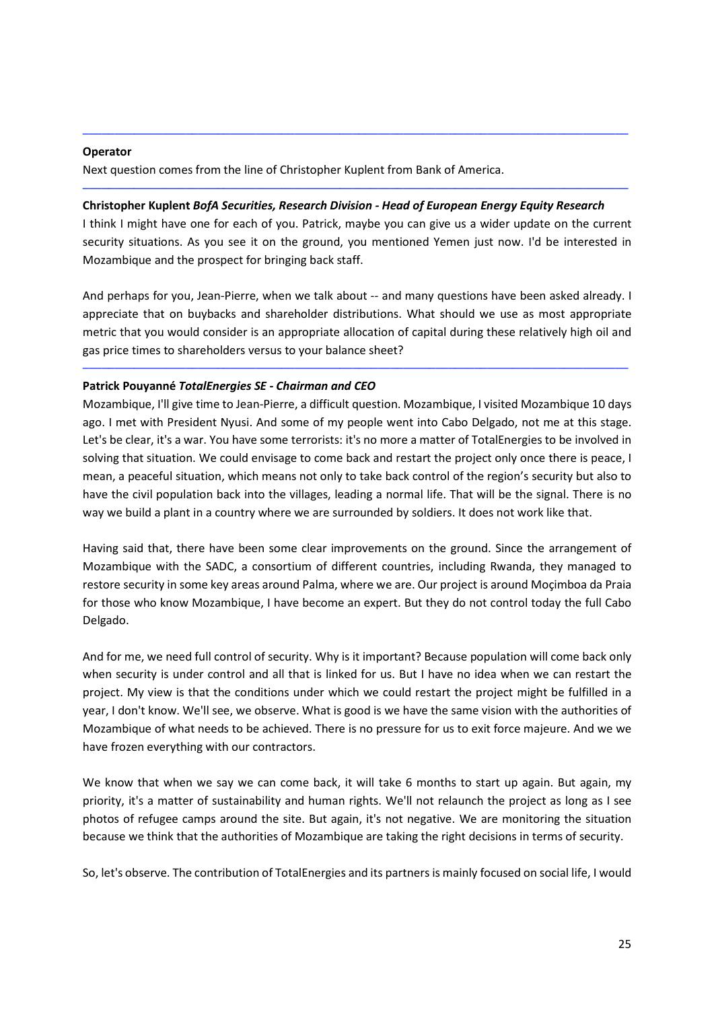#### **Operator**

Next question comes from the line of Christopher Kuplent from Bank of America.

### **Christopher Kuplent** *BofA Securities, Research Division - Head of European Energy Equity Research*

I think I might have one for each of you. Patrick, maybe you can give us a wider update on the current security situations. As you see it on the ground, you mentioned Yemen just now. I'd be interested in Mozambique and the prospect for bringing back staff.

─────────────────────────────────────────────────────────────────────────────────────

─────────────────────────────────────────────────────────────────────────────────────

And perhaps for you, Jean-Pierre, when we talk about -- and many questions have been asked already. I appreciate that on buybacks and shareholder distributions. What should we use as most appropriate metric that you would consider is an appropriate allocation of capital during these relatively high oil and gas price times to shareholders versus to your balance sheet?

─────────────────────────────────────────────────────────────────────────────────────

## **Patrick Pouyanné** *TotalEnergies SE - Chairman and CEO*

Mozambique, I'll give time to Jean-Pierre, a difficult question. Mozambique, I visited Mozambique 10 days ago. I met with President Nyusi. And some of my people went into Cabo Delgado, not me at this stage. Let's be clear, it's a war. You have some terrorists: it's no more a matter of TotalEnergies to be involved in solving that situation. We could envisage to come back and restart the project only once there is peace, I mean, a peaceful situation, which means not only to take back control of the region's security but also to have the civil population back into the villages, leading a normal life. That will be the signal. There is no way we build a plant in a country where we are surrounded by soldiers. It does not work like that.

Having said that, there have been some clear improvements on the ground. Since the arrangement of Mozambique with the SADC, a consortium of different countries, including Rwanda, they managed to restore security in some key areas around Palma, where we are. Our project is around Moçimboa da Praia for those who know Mozambique, I have become an expert. But they do not control today the full Cabo Delgado.

And for me, we need full control of security. Why is it important? Because population will come back only when security is under control and all that is linked for us. But I have no idea when we can restart the project. My view is that the conditions under which we could restart the project might be fulfilled in a year, I don't know. We'll see, we observe. What is good is we have the same vision with the authorities of Mozambique of what needs to be achieved. There is no pressure for us to exit force majeure. And we we have frozen everything with our contractors.

We know that when we say we can come back, it will take 6 months to start up again. But again, my priority, it's a matter of sustainability and human rights. We'll not relaunch the project as long as I see photos of refugee camps around the site. But again, it's not negative. We are monitoring the situation because we think that the authorities of Mozambique are taking the right decisions in terms of security.

So, let's observe. The contribution of TotalEnergies and its partners is mainly focused on social life, I would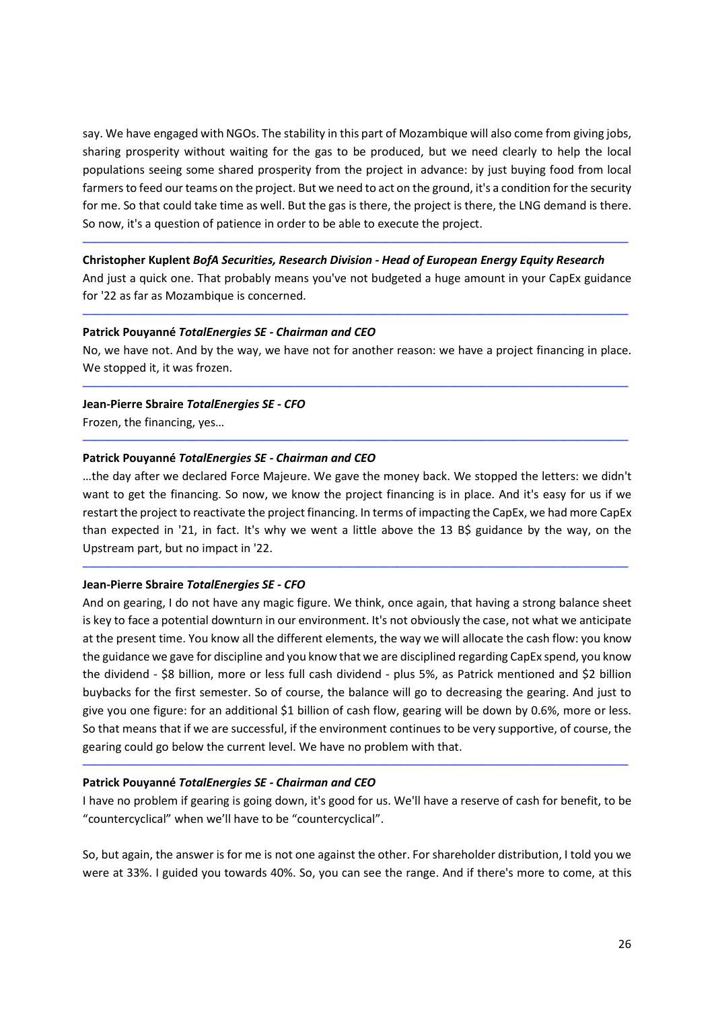say. We have engaged with NGOs. The stability in this part of Mozambique will also come from giving jobs, sharing prosperity without waiting for the gas to be produced, but we need clearly to help the local populations seeing some shared prosperity from the project in advance: by just buying food from local farmers to feed our teams on the project. But we need to act on the ground, it's a condition for the security for me. So that could take time as well. But the gas is there, the project is there, the LNG demand is there. So now, it's a question of patience in order to be able to execute the project.

#### **Christopher Kuplent** *BofA Securities, Research Division - Head of European Energy Equity Research*

And just a quick one. That probably means you've not budgeted a huge amount in your CapEx guidance for '22 as far as Mozambique is concerned.

─────────────────────────────────────────────────────────────────────────────────────

─────────────────────────────────────────────────────────────────────────────────────

#### **Patrick Pouyanné** *TotalEnergies SE - Chairman and CEO*

No, we have not. And by the way, we have not for another reason: we have a project financing in place. We stopped it, it was frozen.

─────────────────────────────────────────────────────────────────────────────────────

─────────────────────────────────────────────────────────────────────────────────────

### **Jean-Pierre Sbraire** *TotalEnergies SE - CFO*

Frozen, the financing, yes…

#### **Patrick Pouyanné** *TotalEnergies SE - Chairman and CEO*

…the day after we declared Force Majeure. We gave the money back. We stopped the letters: we didn't want to get the financing. So now, we know the project financing is in place. And it's easy for us if we restart the project to reactivate the project financing. In terms of impacting the CapEx, we had more CapEx than expected in '21, in fact. It's why we went a little above the 13 B\$ guidance by the way, on the Upstream part, but no impact in '22.

─────────────────────────────────────────────────────────────────────────────────────

#### **Jean-Pierre Sbraire** *TotalEnergies SE - CFO*

And on gearing, I do not have any magic figure. We think, once again, that having a strong balance sheet is key to face a potential downturn in our environment. It's not obviously the case, not what we anticipate at the present time. You know all the different elements, the way we will allocate the cash flow: you know the guidance we gave for discipline and you know that we are disciplined regarding CapEx spend, you know the dividend - \$8 billion, more or less full cash dividend - plus 5%, as Patrick mentioned and \$2 billion buybacks for the first semester. So of course, the balance will go to decreasing the gearing. And just to give you one figure: for an additional \$1 billion of cash flow, gearing will be down by 0.6%, more or less. So that means that if we are successful, if the environment continues to be very supportive, of course, the gearing could go below the current level. We have no problem with that.

#### **Patrick Pouyanné** *TotalEnergies SE - Chairman and CEO*

I have no problem if gearing is going down, it's good for us. We'll have a reserve of cash for benefit, to be "countercyclical" when we'll have to be "countercyclical".

─────────────────────────────────────────────────────────────────────────────────────

So, but again, the answer is for me is not one against the other. For shareholder distribution, I told you we were at 33%. I guided you towards 40%. So, you can see the range. And if there's more to come, at this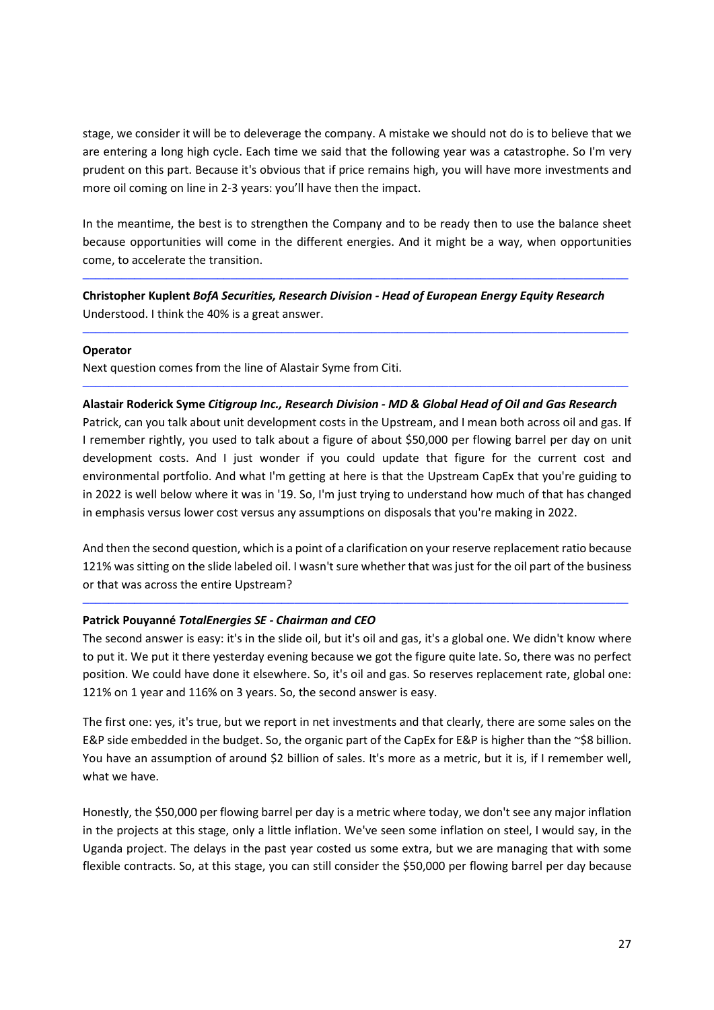stage, we consider it will be to deleverage the company. A mistake we should not do is to believe that we are entering a long high cycle. Each time we said that the following year was a catastrophe. So I'm very prudent on this part. Because it's obvious that if price remains high, you will have more investments and more oil coming on line in 2-3 years: you'll have then the impact.

In the meantime, the best is to strengthen the Company and to be ready then to use the balance sheet because opportunities will come in the different energies. And it might be a way, when opportunities come, to accelerate the transition.

─────────────────────────────────────────────────────────────────────────────────────

─────────────────────────────────────────────────────────────────────────────────────

**Christopher Kuplent** *BofA Securities, Research Division - Head of European Energy Equity Research*  Understood. I think the 40% is a great answer.

## **Operator**

Next question comes from the line of Alastair Syme from Citi.

## ───────────────────────────────────────────────────────────────────────────────────── **Alastair Roderick Syme** *Citigroup Inc., Research Division - MD & Global Head of Oil and Gas Research*

Patrick, can you talk about unit development costs in the Upstream, and I mean both across oil and gas. If I remember rightly, you used to talk about a figure of about \$50,000 per flowing barrel per day on unit development costs. And I just wonder if you could update that figure for the current cost and environmental portfolio. And what I'm getting at here is that the Upstream CapEx that you're guiding to in 2022 is well below where it was in '19. So, I'm just trying to understand how much of that has changed in emphasis versus lower cost versus any assumptions on disposals that you're making in 2022.

And then the second question, which is a point of a clarification on your reserve replacement ratio because 121% was sitting on the slide labeled oil. I wasn't sure whether that was just for the oil part of the business or that was across the entire Upstream?

─────────────────────────────────────────────────────────────────────────────────────

## **Patrick Pouyanné** *TotalEnergies SE - Chairman and CEO*

The second answer is easy: it's in the slide oil, but it's oil and gas, it's a global one. We didn't know where to put it. We put it there yesterday evening because we got the figure quite late. So, there was no perfect position. We could have done it elsewhere. So, it's oil and gas. So reserves replacement rate, global one: 121% on 1 year and 116% on 3 years. So, the second answer is easy.

The first one: yes, it's true, but we report in net investments and that clearly, there are some sales on the E&P side embedded in the budget. So, the organic part of the CapEx for E&P is higher than the ~\$8 billion. You have an assumption of around \$2 billion of sales. It's more as a metric, but it is, if I remember well, what we have.

Honestly, the \$50,000 per flowing barrel per day is a metric where today, we don't see any major inflation in the projects at this stage, only a little inflation. We've seen some inflation on steel, I would say, in the Uganda project. The delays in the past year costed us some extra, but we are managing that with some flexible contracts. So, at this stage, you can still consider the \$50,000 per flowing barrel per day because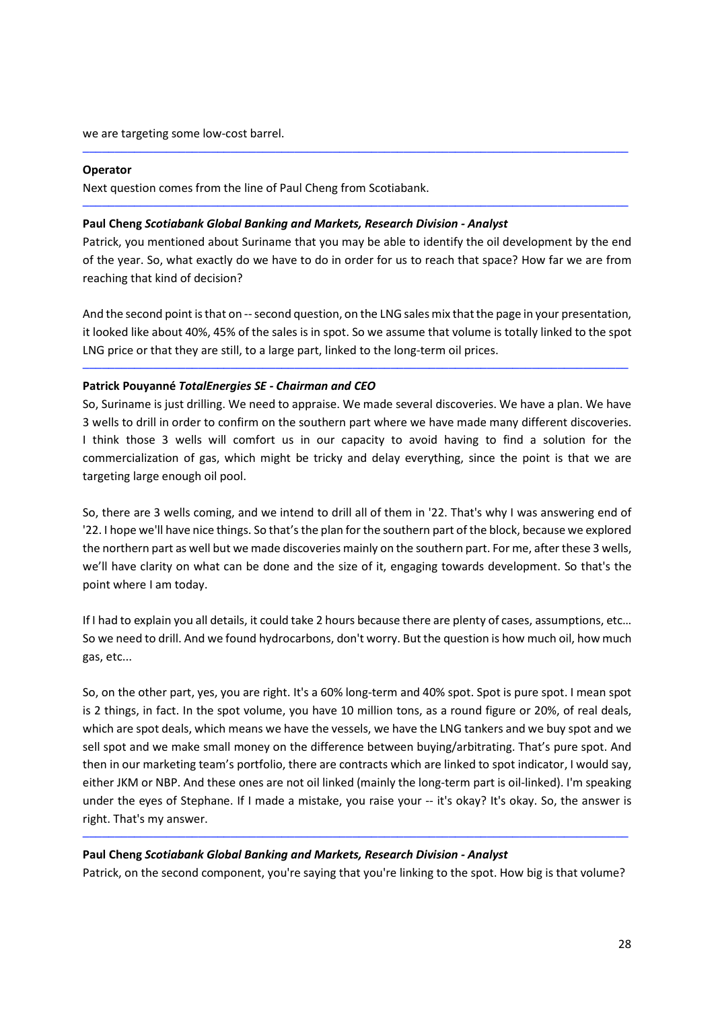we are targeting some low-cost barrel.

#### **Operator**

Next question comes from the line of Paul Cheng from Scotiabank.

#### **Paul Cheng** *Scotiabank Global Banking and Markets, Research Division - Analyst*

Patrick, you mentioned about Suriname that you may be able to identify the oil development by the end of the year. So, what exactly do we have to do in order for us to reach that space? How far we are from reaching that kind of decision?

─────────────────────────────────────────────────────────────────────────────────────

─────────────────────────────────────────────────────────────────────────────────────

And the second point is that on -- second question, on the LNG sales mix that the page in your presentation, it looked like about 40%, 45% of the sales is in spot. So we assume that volume is totally linked to the spot LNG price or that they are still, to a large part, linked to the long-term oil prices.

─────────────────────────────────────────────────────────────────────────────────────

#### **Patrick Pouyanné** *TotalEnergies SE - Chairman and CEO*

So, Suriname is just drilling. We need to appraise. We made several discoveries. We have a plan. We have 3 wells to drill in order to confirm on the southern part where we have made many different discoveries. I think those 3 wells will comfort us in our capacity to avoid having to find a solution for the commercialization of gas, which might be tricky and delay everything, since the point is that we are targeting large enough oil pool.

So, there are 3 wells coming, and we intend to drill all of them in '22. That's why I was answering end of '22. I hope we'll have nice things. So that's the plan for the southern part of the block, because we explored the northern part as well but we made discoveries mainly on the southern part. For me, after these 3 wells, we'll have clarity on what can be done and the size of it, engaging towards development. So that's the point where I am today.

If I had to explain you all details, it could take 2 hours because there are plenty of cases, assumptions, etc… So we need to drill. And we found hydrocarbons, don't worry. But the question is how much oil, how much gas, etc...

So, on the other part, yes, you are right. It's a 60% long-term and 40% spot. Spot is pure spot. I mean spot is 2 things, in fact. In the spot volume, you have 10 million tons, as a round figure or 20%, of real deals, which are spot deals, which means we have the vessels, we have the LNG tankers and we buy spot and we sell spot and we make small money on the difference between buying/arbitrating. That's pure spot. And then in our marketing team's portfolio, there are contracts which are linked to spot indicator, I would say, either JKM or NBP. And these ones are not oil linked (mainly the long-term part is oil-linked). I'm speaking under the eyes of Stephane. If I made a mistake, you raise your -- it's okay? It's okay. So, the answer is right. That's my answer.

#### **Paul Cheng** *Scotiabank Global Banking and Markets, Research Division - Analyst*

Patrick, on the second component, you're saying that you're linking to the spot. How big is that volume?

─────────────────────────────────────────────────────────────────────────────────────